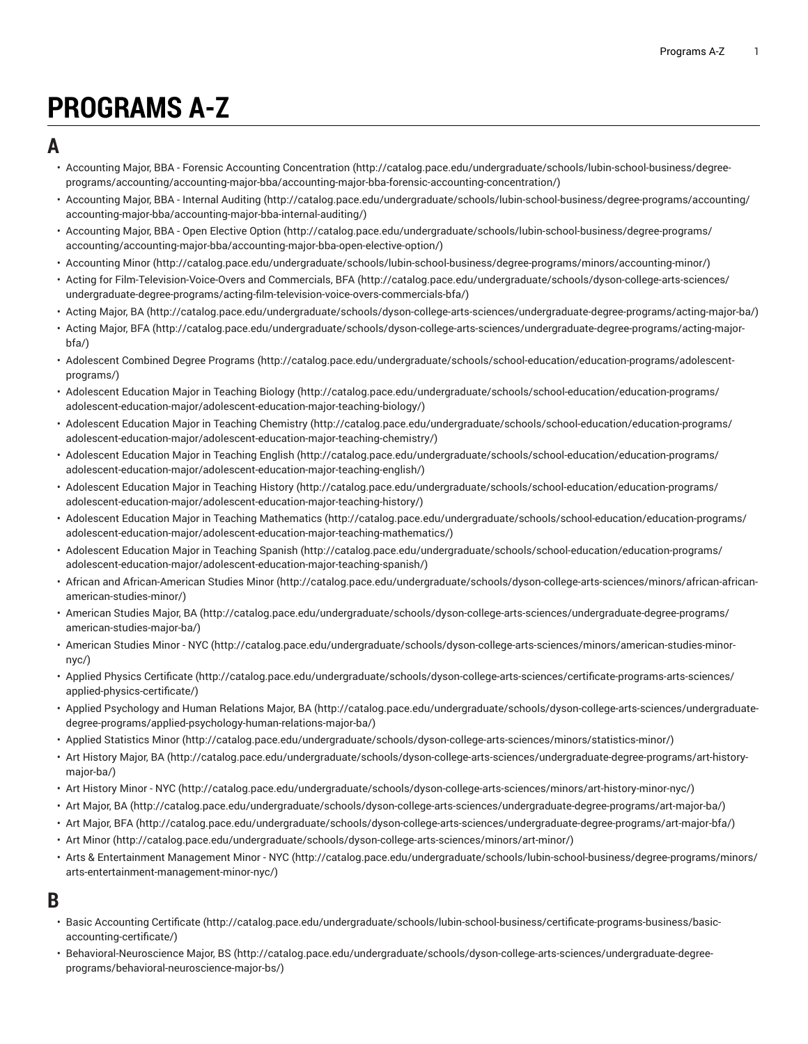# **PROGRAMS A-Z**

#### **A**

- Accounting Major, BBA Forensic Accounting [Concentration](http://catalog.pace.edu/undergraduate/schools/lubin-school-business/degree-programs/accounting/accounting-major-bba/accounting-major-bba-forensic-accounting-concentration/) ([http://catalog.pace.edu/undergraduate/schools/lubin-school-business/degree](http://catalog.pace.edu/undergraduate/schools/lubin-school-business/degree-programs/accounting/accounting-major-bba/accounting-major-bba-forensic-accounting-concentration/)[programs/accounting/accounting-major-bba/accounting-major-bba-forensic-accounting-concentration/](http://catalog.pace.edu/undergraduate/schools/lubin-school-business/degree-programs/accounting/accounting-major-bba/accounting-major-bba-forensic-accounting-concentration/))
- [Accounting](http://catalog.pace.edu/undergraduate/schools/lubin-school-business/degree-programs/accounting/accounting-major-bba/accounting-major-bba-internal-auditing/) Major, BBA Internal Auditing ([http://catalog.pace.edu/undergraduate/schools/lubin-school-business/degree-programs/accounting/](http://catalog.pace.edu/undergraduate/schools/lubin-school-business/degree-programs/accounting/accounting-major-bba/accounting-major-bba-internal-auditing/) [accounting-major-bba/accounting-major-bba-internal-auditing/](http://catalog.pace.edu/undergraduate/schools/lubin-school-business/degree-programs/accounting/accounting-major-bba/accounting-major-bba-internal-auditing/))
- [Accounting](http://catalog.pace.edu/undergraduate/schools/lubin-school-business/degree-programs/accounting/accounting-major-bba/accounting-major-bba-open-elective-option/) Major, BBA Open Elective Option ([http://catalog.pace.edu/undergraduate/schools/lubin-school-business/degree-programs/](http://catalog.pace.edu/undergraduate/schools/lubin-school-business/degree-programs/accounting/accounting-major-bba/accounting-major-bba-open-elective-option/) [accounting/accounting-major-bba/accounting-major-bba-open-elective-option/](http://catalog.pace.edu/undergraduate/schools/lubin-school-business/degree-programs/accounting/accounting-major-bba/accounting-major-bba-open-elective-option/))
- [Accounting Minor](http://catalog.pace.edu/undergraduate/schools/lubin-school-business/degree-programs/minors/accounting-minor/) ([http://catalog.pace.edu/undergraduate/schools/lubin-school-business/degree-programs/minors/accounting-minor/\)](http://catalog.pace.edu/undergraduate/schools/lubin-school-business/degree-programs/minors/accounting-minor/)
- Acting for [Film-Television-Voice-Overs](http://catalog.pace.edu/undergraduate/schools/dyson-college-arts-sciences/undergraduate-degree-programs/acting-film-television-voice-overs-commercials-bfa/) and Commercials, BFA ([http://catalog.pace.edu/undergraduate/schools/dyson-college-arts-sciences/](http://catalog.pace.edu/undergraduate/schools/dyson-college-arts-sciences/undergraduate-degree-programs/acting-film-television-voice-overs-commercials-bfa/) [undergraduate-degree-programs/acting-film-television-voice-overs-commercials-bfa/\)](http://catalog.pace.edu/undergraduate/schools/dyson-college-arts-sciences/undergraduate-degree-programs/acting-film-television-voice-overs-commercials-bfa/)
- [Acting](http://catalog.pace.edu/undergraduate/schools/dyson-college-arts-sciences/undergraduate-degree-programs/acting-major-ba/) Major, BA (<http://catalog.pace.edu/undergraduate/schools/dyson-college-arts-sciences/undergraduate-degree-programs/acting-major-ba/>)
- [Acting](http://catalog.pace.edu/undergraduate/schools/dyson-college-arts-sciences/undergraduate-degree-programs/acting-major-bfa/) Major, BFA [\(http://catalog.pace.edu/undergraduate/schools/dyson-college-arts-sciences/undergraduate-degree-programs/acting-major](http://catalog.pace.edu/undergraduate/schools/dyson-college-arts-sciences/undergraduate-degree-programs/acting-major-bfa/)[bfa/](http://catalog.pace.edu/undergraduate/schools/dyson-college-arts-sciences/undergraduate-degree-programs/acting-major-bfa/))
- [Adolescent](http://catalog.pace.edu/undergraduate/schools/school-education/education-programs/adolescent-programs/) Combined Degree Programs ([http://catalog.pace.edu/undergraduate/schools/school-education/education-programs/adolescent](http://catalog.pace.edu/undergraduate/schools/school-education/education-programs/adolescent-programs/)[programs/\)](http://catalog.pace.edu/undergraduate/schools/school-education/education-programs/adolescent-programs/)
- [Adolescent](http://catalog.pace.edu/undergraduate/schools/school-education/education-programs/adolescent-education-major/adolescent-education-major-teaching-biology/) Education Major in Teaching Biology [\(http://catalog.pace.edu/undergraduate/schools/school-education/education-programs/](http://catalog.pace.edu/undergraduate/schools/school-education/education-programs/adolescent-education-major/adolescent-education-major-teaching-biology/) [adolescent-education-major/adolescent-education-major-teaching-biology/\)](http://catalog.pace.edu/undergraduate/schools/school-education/education-programs/adolescent-education-major/adolescent-education-major-teaching-biology/)
- [Adolescent](http://catalog.pace.edu/undergraduate/schools/school-education/education-programs/adolescent-education-major/adolescent-education-major-teaching-chemistry/) Education Major in Teaching Chemistry ([http://catalog.pace.edu/undergraduate/schools/school-education/education-programs/](http://catalog.pace.edu/undergraduate/schools/school-education/education-programs/adolescent-education-major/adolescent-education-major-teaching-chemistry/) [adolescent-education-major/adolescent-education-major-teaching-chemistry/](http://catalog.pace.edu/undergraduate/schools/school-education/education-programs/adolescent-education-major/adolescent-education-major-teaching-chemistry/))
- [Adolescent](http://catalog.pace.edu/undergraduate/schools/school-education/education-programs/adolescent-education-major/adolescent-education-major-teaching-english/) Education Major in Teaching English ([http://catalog.pace.edu/undergraduate/schools/school-education/education-programs/](http://catalog.pace.edu/undergraduate/schools/school-education/education-programs/adolescent-education-major/adolescent-education-major-teaching-english/) [adolescent-education-major/adolescent-education-major-teaching-english/](http://catalog.pace.edu/undergraduate/schools/school-education/education-programs/adolescent-education-major/adolescent-education-major-teaching-english/))
- [Adolescent](http://catalog.pace.edu/undergraduate/schools/school-education/education-programs/adolescent-education-major/adolescent-education-major-teaching-history/) Education Major in Teaching History [\(http://catalog.pace.edu/undergraduate/schools/school-education/education-programs/](http://catalog.pace.edu/undergraduate/schools/school-education/education-programs/adolescent-education-major/adolescent-education-major-teaching-history/) [adolescent-education-major/adolescent-education-major-teaching-history/](http://catalog.pace.edu/undergraduate/schools/school-education/education-programs/adolescent-education-major/adolescent-education-major-teaching-history/))
- Adolescent Education Major in Teaching [Mathematics](http://catalog.pace.edu/undergraduate/schools/school-education/education-programs/adolescent-education-major/adolescent-education-major-teaching-mathematics/) ([http://catalog.pace.edu/undergraduate/schools/school-education/education-programs/](http://catalog.pace.edu/undergraduate/schools/school-education/education-programs/adolescent-education-major/adolescent-education-major-teaching-mathematics/) [adolescent-education-major/adolescent-education-major-teaching-mathematics/\)](http://catalog.pace.edu/undergraduate/schools/school-education/education-programs/adolescent-education-major/adolescent-education-major-teaching-mathematics/)
- [Adolescent](http://catalog.pace.edu/undergraduate/schools/school-education/education-programs/adolescent-education-major/adolescent-education-major-teaching-spanish/) Education Major in Teaching Spanish ([http://catalog.pace.edu/undergraduate/schools/school-education/education-programs/](http://catalog.pace.edu/undergraduate/schools/school-education/education-programs/adolescent-education-major/adolescent-education-major-teaching-spanish/) [adolescent-education-major/adolescent-education-major-teaching-spanish/\)](http://catalog.pace.edu/undergraduate/schools/school-education/education-programs/adolescent-education-major/adolescent-education-major-teaching-spanish/)
- [African and African-American Studies Minor \(http://catalog.pace.edu/undergraduate/schools/dyson-college-arts-sciences/minors/african-african](http://catalog.pace.edu/undergraduate/schools/dyson-college-arts-sciences/minors/african-african-american-studies-minor/)[american-studies-minor/](http://catalog.pace.edu/undergraduate/schools/dyson-college-arts-sciences/minors/african-african-american-studies-minor/))
- [American](http://catalog.pace.edu/undergraduate/schools/dyson-college-arts-sciences/undergraduate-degree-programs/american-studies-major-ba/) Studies Major, BA [\(http://catalog.pace.edu/undergraduate/schools/dyson-college-arts-sciences/undergraduate-degree-programs/](http://catalog.pace.edu/undergraduate/schools/dyson-college-arts-sciences/undergraduate-degree-programs/american-studies-major-ba/) [american-studies-major-ba/](http://catalog.pace.edu/undergraduate/schools/dyson-college-arts-sciences/undergraduate-degree-programs/american-studies-major-ba/))
- [American](http://catalog.pace.edu/undergraduate/schools/dyson-college-arts-sciences/minors/american-studies-minor-nyc/) Studies Minor NYC ([http://catalog.pace.edu/undergraduate/schools/dyson-college-arts-sciences/minors/american-studies-minor](http://catalog.pace.edu/undergraduate/schools/dyson-college-arts-sciences/minors/american-studies-minor-nyc/)[nyc/](http://catalog.pace.edu/undergraduate/schools/dyson-college-arts-sciences/minors/american-studies-minor-nyc/))
- Applied Physics [Certificate](http://catalog.pace.edu/undergraduate/schools/dyson-college-arts-sciences/certificate-programs-arts-sciences/applied-physics-certificate/) ([http://catalog.pace.edu/undergraduate/schools/dyson-college-arts-sciences/certificate-programs-arts-sciences/](http://catalog.pace.edu/undergraduate/schools/dyson-college-arts-sciences/certificate-programs-arts-sciences/applied-physics-certificate/) [applied-physics-certificate/\)](http://catalog.pace.edu/undergraduate/schools/dyson-college-arts-sciences/certificate-programs-arts-sciences/applied-physics-certificate/)
- Applied [Psychology](http://catalog.pace.edu/undergraduate/schools/dyson-college-arts-sciences/undergraduate-degree-programs/applied-psychology-human-relations-major-ba/) and Human Relations Major, BA ([http://catalog.pace.edu/undergraduate/schools/dyson-college-arts-sciences/undergraduate](http://catalog.pace.edu/undergraduate/schools/dyson-college-arts-sciences/undergraduate-degree-programs/applied-psychology-human-relations-major-ba/)[degree-programs/applied-psychology-human-relations-major-ba/](http://catalog.pace.edu/undergraduate/schools/dyson-college-arts-sciences/undergraduate-degree-programs/applied-psychology-human-relations-major-ba/))
- [Applied Statistics Minor](http://catalog.pace.edu/undergraduate/schools/dyson-college-arts-sciences/minors/statistics-minor/) (<http://catalog.pace.edu/undergraduate/schools/dyson-college-arts-sciences/minors/statistics-minor/>)
- Art [History](http://catalog.pace.edu/undergraduate/schools/dyson-college-arts-sciences/undergraduate-degree-programs/art-history-major-ba/) Major, BA [\(http://catalog.pace.edu/undergraduate/schools/dyson-college-arts-sciences/undergraduate-degree-programs/art-history](http://catalog.pace.edu/undergraduate/schools/dyson-college-arts-sciences/undergraduate-degree-programs/art-history-major-ba/)[major-ba/](http://catalog.pace.edu/undergraduate/schools/dyson-college-arts-sciences/undergraduate-degree-programs/art-history-major-ba/))
- Art [History](http://catalog.pace.edu/undergraduate/schools/dyson-college-arts-sciences/minors/art-history-minor-nyc/) Minor NYC ([http://catalog.pace.edu/undergraduate/schools/dyson-college-arts-sciences/minors/art-history-minor-nyc/\)](http://catalog.pace.edu/undergraduate/schools/dyson-college-arts-sciences/minors/art-history-minor-nyc/)
- Art [Major,](http://catalog.pace.edu/undergraduate/schools/dyson-college-arts-sciences/undergraduate-degree-programs/art-major-ba/) BA [\(http://catalog.pace.edu/undergraduate/schools/dyson-college-arts-sciences/undergraduate-degree-programs/art-major-ba/](http://catalog.pace.edu/undergraduate/schools/dyson-college-arts-sciences/undergraduate-degree-programs/art-major-ba/))
- Art [Major,](http://catalog.pace.edu/undergraduate/schools/dyson-college-arts-sciences/undergraduate-degree-programs/art-major-bfa/) BFA ([http://catalog.pace.edu/undergraduate/schools/dyson-college-arts-sciences/undergraduate-degree-programs/art-major-bfa/\)](http://catalog.pace.edu/undergraduate/schools/dyson-college-arts-sciences/undergraduate-degree-programs/art-major-bfa/)
- Art [Minor \(http://catalog.pace.edu/undergraduate/schools/dyson-college-arts-sciences/minors/art-minor/](http://catalog.pace.edu/undergraduate/schools/dyson-college-arts-sciences/minors/art-minor/))
- Arts & [Entertainment](http://catalog.pace.edu/undergraduate/schools/lubin-school-business/degree-programs/minors/arts-entertainment-management-minor-nyc/) Management Minor NYC ([http://catalog.pace.edu/undergraduate/schools/lubin-school-business/degree-programs/minors/](http://catalog.pace.edu/undergraduate/schools/lubin-school-business/degree-programs/minors/arts-entertainment-management-minor-nyc/) [arts-entertainment-management-minor-nyc/](http://catalog.pace.edu/undergraduate/schools/lubin-school-business/degree-programs/minors/arts-entertainment-management-minor-nyc/))

#### **B**

- Basic [Accounting](http://catalog.pace.edu/undergraduate/schools/lubin-school-business/certificate-programs-business/basic-accounting-certificate/) Certificate ([http://catalog.pace.edu/undergraduate/schools/lubin-school-business/certificate-programs-business/basic](http://catalog.pace.edu/undergraduate/schools/lubin-school-business/certificate-programs-business/basic-accounting-certificate/)[accounting-certificate/\)](http://catalog.pace.edu/undergraduate/schools/lubin-school-business/certificate-programs-business/basic-accounting-certificate/)
- [Behavioral-Neuroscience](http://catalog.pace.edu/undergraduate/schools/dyson-college-arts-sciences/undergraduate-degree-programs/behavioral-neuroscience-major-bs/) Major, BS ([http://catalog.pace.edu/undergraduate/schools/dyson-college-arts-sciences/undergraduate-degree](http://catalog.pace.edu/undergraduate/schools/dyson-college-arts-sciences/undergraduate-degree-programs/behavioral-neuroscience-major-bs/)[programs/behavioral-neuroscience-major-bs/\)](http://catalog.pace.edu/undergraduate/schools/dyson-college-arts-sciences/undergraduate-degree-programs/behavioral-neuroscience-major-bs/)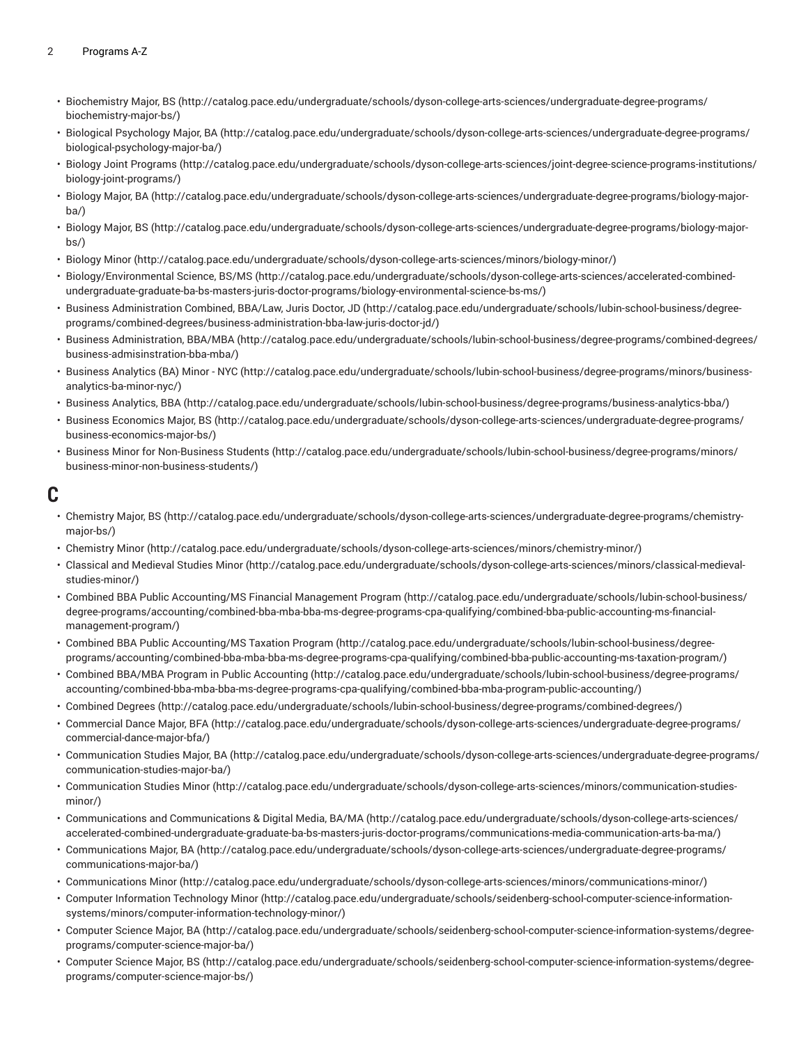- [Biochemistry](http://catalog.pace.edu/undergraduate/schools/dyson-college-arts-sciences/undergraduate-degree-programs/biochemistry-major-bs/) Major, BS ([http://catalog.pace.edu/undergraduate/schools/dyson-college-arts-sciences/undergraduate-degree-programs/](http://catalog.pace.edu/undergraduate/schools/dyson-college-arts-sciences/undergraduate-degree-programs/biochemistry-major-bs/) [biochemistry-major-bs/\)](http://catalog.pace.edu/undergraduate/schools/dyson-college-arts-sciences/undergraduate-degree-programs/biochemistry-major-bs/)
- Biological [Psychology](http://catalog.pace.edu/undergraduate/schools/dyson-college-arts-sciences/undergraduate-degree-programs/biological-psychology-major-ba/) Major, BA ([http://catalog.pace.edu/undergraduate/schools/dyson-college-arts-sciences/undergraduate-degree-programs/](http://catalog.pace.edu/undergraduate/schools/dyson-college-arts-sciences/undergraduate-degree-programs/biological-psychology-major-ba/) [biological-psychology-major-ba/\)](http://catalog.pace.edu/undergraduate/schools/dyson-college-arts-sciences/undergraduate-degree-programs/biological-psychology-major-ba/)
- Biology Joint [Programs](http://catalog.pace.edu/undergraduate/schools/dyson-college-arts-sciences/joint-degree-science-programs-institutions/biology-joint-programs/) ([http://catalog.pace.edu/undergraduate/schools/dyson-college-arts-sciences/joint-degree-science-programs-institutions/](http://catalog.pace.edu/undergraduate/schools/dyson-college-arts-sciences/joint-degree-science-programs-institutions/biology-joint-programs/) [biology-joint-programs/](http://catalog.pace.edu/undergraduate/schools/dyson-college-arts-sciences/joint-degree-science-programs-institutions/biology-joint-programs/))
- [Biology](http://catalog.pace.edu/undergraduate/schools/dyson-college-arts-sciences/undergraduate-degree-programs/biology-major-ba/) Major, BA [\(http://catalog.pace.edu/undergraduate/schools/dyson-college-arts-sciences/undergraduate-degree-programs/biology-major](http://catalog.pace.edu/undergraduate/schools/dyson-college-arts-sciences/undergraduate-degree-programs/biology-major-ba/)[ba/](http://catalog.pace.edu/undergraduate/schools/dyson-college-arts-sciences/undergraduate-degree-programs/biology-major-ba/))
- [Biology](http://catalog.pace.edu/undergraduate/schools/dyson-college-arts-sciences/undergraduate-degree-programs/biology-major-bs/) Major, BS [\(http://catalog.pace.edu/undergraduate/schools/dyson-college-arts-sciences/undergraduate-degree-programs/biology-major](http://catalog.pace.edu/undergraduate/schools/dyson-college-arts-sciences/undergraduate-degree-programs/biology-major-bs/)[bs/](http://catalog.pace.edu/undergraduate/schools/dyson-college-arts-sciences/undergraduate-degree-programs/biology-major-bs/))
- [Biology Minor \(http://catalog.pace.edu/undergraduate/schools/dyson-college-arts-sciences/minors/biology-minor/\)](http://catalog.pace.edu/undergraduate/schools/dyson-college-arts-sciences/minors/biology-minor/)
- [Biology/Environmental](http://catalog.pace.edu/undergraduate/schools/dyson-college-arts-sciences/accelerated-combined-undergraduate-graduate-ba-bs-masters-juris-doctor-programs/biology-environmental-science-bs-ms/) Science, BS/MS [\(http://catalog.pace.edu/undergraduate/schools/dyson-college-arts-sciences/accelerated-combined](http://catalog.pace.edu/undergraduate/schools/dyson-college-arts-sciences/accelerated-combined-undergraduate-graduate-ba-bs-masters-juris-doctor-programs/biology-environmental-science-bs-ms/)[undergraduate-graduate-ba-bs-masters-juris-doctor-programs/biology-environmental-science-bs-ms/](http://catalog.pace.edu/undergraduate/schools/dyson-college-arts-sciences/accelerated-combined-undergraduate-graduate-ba-bs-masters-juris-doctor-programs/biology-environmental-science-bs-ms/))
- Business [Administration](http://catalog.pace.edu/undergraduate/schools/lubin-school-business/degree-programs/combined-degrees/business-administration-bba-law-juris-doctor-jd/) Combined, BBA/Law, Juris Doctor, JD ([http://catalog.pace.edu/undergraduate/schools/lubin-school-business/degree](http://catalog.pace.edu/undergraduate/schools/lubin-school-business/degree-programs/combined-degrees/business-administration-bba-law-juris-doctor-jd/)[programs/combined-degrees/business-administration-bba-law-juris-doctor-jd/](http://catalog.pace.edu/undergraduate/schools/lubin-school-business/degree-programs/combined-degrees/business-administration-bba-law-juris-doctor-jd/))
- [Business Administration, BBA/MBA \(http://catalog.pace.edu/undergraduate/schools/lubin-school-business/degree-programs/combined-degrees/](http://catalog.pace.edu/undergraduate/schools/lubin-school-business/degree-programs/combined-degrees/business-admisinstration-bba-mba/) [business-admisinstration-bba-mba/](http://catalog.pace.edu/undergraduate/schools/lubin-school-business/degree-programs/combined-degrees/business-admisinstration-bba-mba/))
- Business [Analytics](http://catalog.pace.edu/undergraduate/schools/lubin-school-business/degree-programs/minors/business-analytics-ba-minor-nyc/) (BA) Minor NYC ([http://catalog.pace.edu/undergraduate/schools/lubin-school-business/degree-programs/minors/business](http://catalog.pace.edu/undergraduate/schools/lubin-school-business/degree-programs/minors/business-analytics-ba-minor-nyc/)[analytics-ba-minor-nyc/\)](http://catalog.pace.edu/undergraduate/schools/lubin-school-business/degree-programs/minors/business-analytics-ba-minor-nyc/)
- [Business Analytics, BBA](http://catalog.pace.edu/undergraduate/schools/lubin-school-business/degree-programs/business-analytics-bba/) (<http://catalog.pace.edu/undergraduate/schools/lubin-school-business/degree-programs/business-analytics-bba/>)
- Business [Economics](http://catalog.pace.edu/undergraduate/schools/dyson-college-arts-sciences/undergraduate-degree-programs/business-economics-major-bs/) Major, BS [\(http://catalog.pace.edu/undergraduate/schools/dyson-college-arts-sciences/undergraduate-degree-programs/](http://catalog.pace.edu/undergraduate/schools/dyson-college-arts-sciences/undergraduate-degree-programs/business-economics-major-bs/) [business-economics-major-bs/](http://catalog.pace.edu/undergraduate/schools/dyson-college-arts-sciences/undergraduate-degree-programs/business-economics-major-bs/))
- [Business Minor for Non-Business Students](http://catalog.pace.edu/undergraduate/schools/lubin-school-business/degree-programs/minors/business-minor-non-business-students/) ([http://catalog.pace.edu/undergraduate/schools/lubin-school-business/degree-programs/minors/](http://catalog.pace.edu/undergraduate/schools/lubin-school-business/degree-programs/minors/business-minor-non-business-students/) [business-minor-non-business-students/](http://catalog.pace.edu/undergraduate/schools/lubin-school-business/degree-programs/minors/business-minor-non-business-students/))

#### **C**

- [Chemistry](http://catalog.pace.edu/undergraduate/schools/dyson-college-arts-sciences/undergraduate-degree-programs/chemistry-major-bs/) Major, BS ([http://catalog.pace.edu/undergraduate/schools/dyson-college-arts-sciences/undergraduate-degree-programs/chemistry](http://catalog.pace.edu/undergraduate/schools/dyson-college-arts-sciences/undergraduate-degree-programs/chemistry-major-bs/)[major-bs/\)](http://catalog.pace.edu/undergraduate/schools/dyson-college-arts-sciences/undergraduate-degree-programs/chemistry-major-bs/)
- [Chemistry](http://catalog.pace.edu/undergraduate/schools/dyson-college-arts-sciences/minors/chemistry-minor/) Minor [\(http://catalog.pace.edu/undergraduate/schools/dyson-college-arts-sciences/minors/chemistry-minor/\)](http://catalog.pace.edu/undergraduate/schools/dyson-college-arts-sciences/minors/chemistry-minor/)
- [Classical](http://catalog.pace.edu/undergraduate/schools/dyson-college-arts-sciences/minors/classical-medieval-studies-minor/) and Medieval Studies Minor ([http://catalog.pace.edu/undergraduate/schools/dyson-college-arts-sciences/minors/classical-medieval](http://catalog.pace.edu/undergraduate/schools/dyson-college-arts-sciences/minors/classical-medieval-studies-minor/)[studies-minor/\)](http://catalog.pace.edu/undergraduate/schools/dyson-college-arts-sciences/minors/classical-medieval-studies-minor/)
- Combined BBA Public [Accounting/MS](http://catalog.pace.edu/undergraduate/schools/lubin-school-business/degree-programs/accounting/combined-bba-mba-bba-ms-degree-programs-cpa-qualifying/combined-bba-public-accounting-ms-financial-management-program/) Financial Management Program ([http://catalog.pace.edu/undergraduate/schools/lubin-school-business/](http://catalog.pace.edu/undergraduate/schools/lubin-school-business/degree-programs/accounting/combined-bba-mba-bba-ms-degree-programs-cpa-qualifying/combined-bba-public-accounting-ms-financial-management-program/) [degree-programs/accounting/combined-bba-mba-bba-ms-degree-programs-cpa-qualifying/combined-bba-public-accounting-ms-financial](http://catalog.pace.edu/undergraduate/schools/lubin-school-business/degree-programs/accounting/combined-bba-mba-bba-ms-degree-programs-cpa-qualifying/combined-bba-public-accounting-ms-financial-management-program/)[management-program/\)](http://catalog.pace.edu/undergraduate/schools/lubin-school-business/degree-programs/accounting/combined-bba-mba-bba-ms-degree-programs-cpa-qualifying/combined-bba-public-accounting-ms-financial-management-program/)
- Combined BBA Public [Accounting/MS](http://catalog.pace.edu/undergraduate/schools/lubin-school-business/degree-programs/accounting/combined-bba-mba-bba-ms-degree-programs-cpa-qualifying/combined-bba-public-accounting-ms-taxation-program/) Taxation Program [\(http://catalog.pace.edu/undergraduate/schools/lubin-school-business/degree](http://catalog.pace.edu/undergraduate/schools/lubin-school-business/degree-programs/accounting/combined-bba-mba-bba-ms-degree-programs-cpa-qualifying/combined-bba-public-accounting-ms-taxation-program/)[programs/accounting/combined-bba-mba-bba-ms-degree-programs-cpa-qualifying/combined-bba-public-accounting-ms-taxation-program/](http://catalog.pace.edu/undergraduate/schools/lubin-school-business/degree-programs/accounting/combined-bba-mba-bba-ms-degree-programs-cpa-qualifying/combined-bba-public-accounting-ms-taxation-program/))
- Combined BBA/MBA Program in Public [Accounting \(http://catalog.pace.edu/undergraduate/schools/lubin-school-business/degree-programs/](http://catalog.pace.edu/undergraduate/schools/lubin-school-business/degree-programs/accounting/combined-bba-mba-bba-ms-degree-programs-cpa-qualifying/combined-bba-mba-program-public-accounting/) [accounting/combined-bba-mba-bba-ms-degree-programs-cpa-qualifying/combined-bba-mba-program-public-accounting/\)](http://catalog.pace.edu/undergraduate/schools/lubin-school-business/degree-programs/accounting/combined-bba-mba-bba-ms-degree-programs-cpa-qualifying/combined-bba-mba-program-public-accounting/)
- [Combined](http://catalog.pace.edu/undergraduate/schools/lubin-school-business/degree-programs/combined-degrees/) Degrees [\(http://catalog.pace.edu/undergraduate/schools/lubin-school-business/degree-programs/combined-degrees/](http://catalog.pace.edu/undergraduate/schools/lubin-school-business/degree-programs/combined-degrees/))
- [Commercial](http://catalog.pace.edu/undergraduate/schools/dyson-college-arts-sciences/undergraduate-degree-programs/commercial-dance-major-bfa/) Dance Major, BFA ([http://catalog.pace.edu/undergraduate/schools/dyson-college-arts-sciences/undergraduate-degree-programs/](http://catalog.pace.edu/undergraduate/schools/dyson-college-arts-sciences/undergraduate-degree-programs/commercial-dance-major-bfa/) [commercial-dance-major-bfa/\)](http://catalog.pace.edu/undergraduate/schools/dyson-college-arts-sciences/undergraduate-degree-programs/commercial-dance-major-bfa/)
- [Communication](http://catalog.pace.edu/undergraduate/schools/dyson-college-arts-sciences/undergraduate-degree-programs/communication-studies-major-ba/) Studies Major, BA ([http://catalog.pace.edu/undergraduate/schools/dyson-college-arts-sciences/undergraduate-degree-programs/](http://catalog.pace.edu/undergraduate/schools/dyson-college-arts-sciences/undergraduate-degree-programs/communication-studies-major-ba/) [communication-studies-major-ba/](http://catalog.pace.edu/undergraduate/schools/dyson-college-arts-sciences/undergraduate-degree-programs/communication-studies-major-ba/))
- [Communication Studies Minor](http://catalog.pace.edu/undergraduate/schools/dyson-college-arts-sciences/minors/communication-studies-minor/) ([http://catalog.pace.edu/undergraduate/schools/dyson-college-arts-sciences/minors/communication-studies](http://catalog.pace.edu/undergraduate/schools/dyson-college-arts-sciences/minors/communication-studies-minor/)[minor/](http://catalog.pace.edu/undergraduate/schools/dyson-college-arts-sciences/minors/communication-studies-minor/))
- Communications and [Communications](http://catalog.pace.edu/undergraduate/schools/dyson-college-arts-sciences/accelerated-combined-undergraduate-graduate-ba-bs-masters-juris-doctor-programs/communications-media-communication-arts-ba-ma/) & Digital Media, BA/MA [\(http://catalog.pace.edu/undergraduate/schools/dyson-college-arts-sciences/](http://catalog.pace.edu/undergraduate/schools/dyson-college-arts-sciences/accelerated-combined-undergraduate-graduate-ba-bs-masters-juris-doctor-programs/communications-media-communication-arts-ba-ma/) [accelerated-combined-undergraduate-graduate-ba-bs-masters-juris-doctor-programs/communications-media-communication-arts-ba-ma/\)](http://catalog.pace.edu/undergraduate/schools/dyson-college-arts-sciences/accelerated-combined-undergraduate-graduate-ba-bs-masters-juris-doctor-programs/communications-media-communication-arts-ba-ma/)
- [Communications](http://catalog.pace.edu/undergraduate/schools/dyson-college-arts-sciences/undergraduate-degree-programs/communications-major-ba/) Major, BA ([http://catalog.pace.edu/undergraduate/schools/dyson-college-arts-sciences/undergraduate-degree-programs/](http://catalog.pace.edu/undergraduate/schools/dyson-college-arts-sciences/undergraduate-degree-programs/communications-major-ba/) [communications-major-ba/\)](http://catalog.pace.edu/undergraduate/schools/dyson-college-arts-sciences/undergraduate-degree-programs/communications-major-ba/)
- [Communications Minor](http://catalog.pace.edu/undergraduate/schools/dyson-college-arts-sciences/minors/communications-minor/) (<http://catalog.pace.edu/undergraduate/schools/dyson-college-arts-sciences/minors/communications-minor/>)
- Computer [Information](http://catalog.pace.edu/undergraduate/schools/seidenberg-school-computer-science-information-systems/minors/computer-information-technology-minor/) Technology Minor [\(http://catalog.pace.edu/undergraduate/schools/seidenberg-school-computer-science-information](http://catalog.pace.edu/undergraduate/schools/seidenberg-school-computer-science-information-systems/minors/computer-information-technology-minor/)[systems/minors/computer-information-technology-minor/](http://catalog.pace.edu/undergraduate/schools/seidenberg-school-computer-science-information-systems/minors/computer-information-technology-minor/))
- [Computer](http://catalog.pace.edu/undergraduate/schools/seidenberg-school-computer-science-information-systems/degree-programs/computer-science-major-ba/) Science Major, BA [\(http://catalog.pace.edu/undergraduate/schools/seidenberg-school-computer-science-information-systems/degree](http://catalog.pace.edu/undergraduate/schools/seidenberg-school-computer-science-information-systems/degree-programs/computer-science-major-ba/)[programs/computer-science-major-ba/\)](http://catalog.pace.edu/undergraduate/schools/seidenberg-school-computer-science-information-systems/degree-programs/computer-science-major-ba/)
- [Computer](http://catalog.pace.edu/undergraduate/schools/seidenberg-school-computer-science-information-systems/degree-programs/computer-science-major-bs/) Science Major, BS [\(http://catalog.pace.edu/undergraduate/schools/seidenberg-school-computer-science-information-systems/degree](http://catalog.pace.edu/undergraduate/schools/seidenberg-school-computer-science-information-systems/degree-programs/computer-science-major-bs/)[programs/computer-science-major-bs/](http://catalog.pace.edu/undergraduate/schools/seidenberg-school-computer-science-information-systems/degree-programs/computer-science-major-bs/))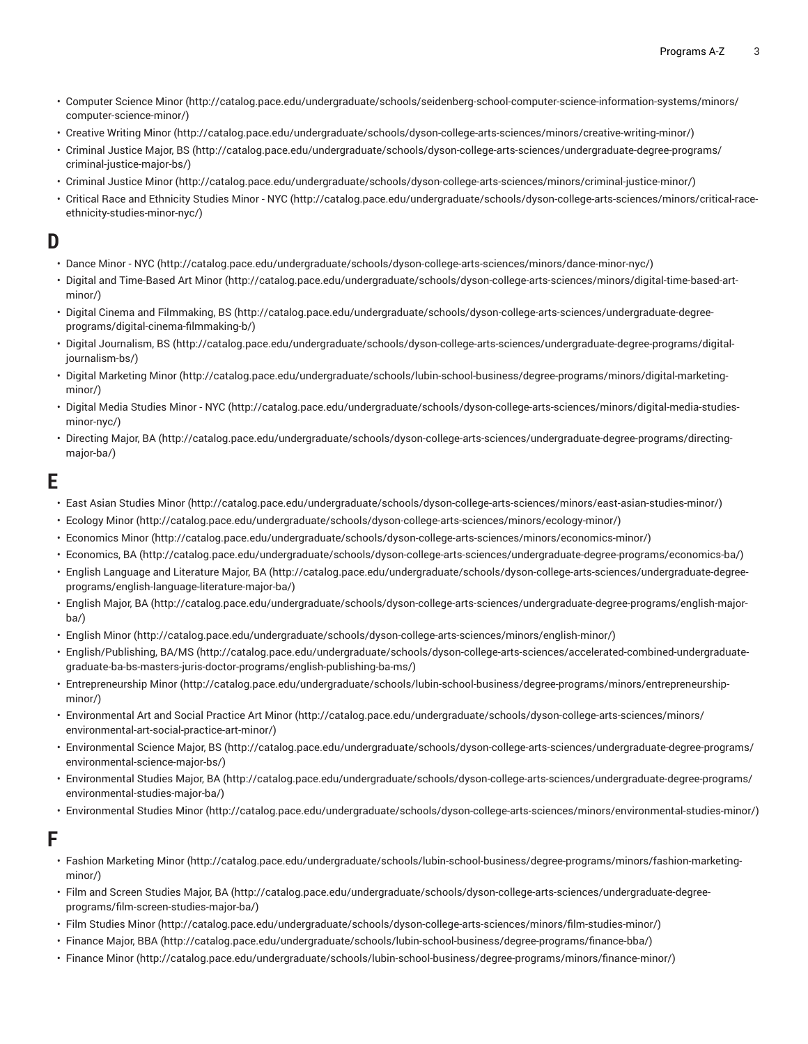- [Computer Science Minor \(http://catalog.pace.edu/undergraduate/schools/seidenberg-school-computer-science-information-systems/minors/](http://catalog.pace.edu/undergraduate/schools/seidenberg-school-computer-science-information-systems/minors/computer-science-minor/) [computer-science-minor/\)](http://catalog.pace.edu/undergraduate/schools/seidenberg-school-computer-science-information-systems/minors/computer-science-minor/)
- [Creative](http://catalog.pace.edu/undergraduate/schools/dyson-college-arts-sciences/minors/creative-writing-minor/) Writing Minor [\(http://catalog.pace.edu/undergraduate/schools/dyson-college-arts-sciences/minors/creative-writing-minor/\)](http://catalog.pace.edu/undergraduate/schools/dyson-college-arts-sciences/minors/creative-writing-minor/)
- [Criminal](http://catalog.pace.edu/undergraduate/schools/dyson-college-arts-sciences/undergraduate-degree-programs/criminal-justice-major-bs/) Justice Major, BS [\(http://catalog.pace.edu/undergraduate/schools/dyson-college-arts-sciences/undergraduate-degree-programs/](http://catalog.pace.edu/undergraduate/schools/dyson-college-arts-sciences/undergraduate-degree-programs/criminal-justice-major-bs/) [criminal-justice-major-bs/](http://catalog.pace.edu/undergraduate/schools/dyson-college-arts-sciences/undergraduate-degree-programs/criminal-justice-major-bs/))
- [Criminal Justice Minor](http://catalog.pace.edu/undergraduate/schools/dyson-college-arts-sciences/minors/criminal-justice-minor/) ([http://catalog.pace.edu/undergraduate/schools/dyson-college-arts-sciences/minors/criminal-justice-minor/\)](http://catalog.pace.edu/undergraduate/schools/dyson-college-arts-sciences/minors/criminal-justice-minor/)
- Critical Race and [Ethnicity](http://catalog.pace.edu/undergraduate/schools/dyson-college-arts-sciences/minors/critical-race-ethnicity-studies-minor-nyc/) Studies Minor NYC ([http://catalog.pace.edu/undergraduate/schools/dyson-college-arts-sciences/minors/critical-race](http://catalog.pace.edu/undergraduate/schools/dyson-college-arts-sciences/minors/critical-race-ethnicity-studies-minor-nyc/)[ethnicity-studies-minor-nyc/\)](http://catalog.pace.edu/undergraduate/schools/dyson-college-arts-sciences/minors/critical-race-ethnicity-studies-minor-nyc/)

### **D**

- [Dance](http://catalog.pace.edu/undergraduate/schools/dyson-college-arts-sciences/minors/dance-minor-nyc/) Minor NYC ([http://catalog.pace.edu/undergraduate/schools/dyson-college-arts-sciences/minors/dance-minor-nyc/\)](http://catalog.pace.edu/undergraduate/schools/dyson-college-arts-sciences/minors/dance-minor-nyc/)
- Digital and [Time-Based](http://catalog.pace.edu/undergraduate/schools/dyson-college-arts-sciences/minors/digital-time-based-art-minor/) Art Minor [\(http://catalog.pace.edu/undergraduate/schools/dyson-college-arts-sciences/minors/digital-time-based-art](http://catalog.pace.edu/undergraduate/schools/dyson-college-arts-sciences/minors/digital-time-based-art-minor/)[minor/](http://catalog.pace.edu/undergraduate/schools/dyson-college-arts-sciences/minors/digital-time-based-art-minor/))
- [Digital Cinema and Filmmaking, BS \(http://catalog.pace.edu/undergraduate/schools/dyson-college-arts-sciences/undergraduate-degree](http://catalog.pace.edu/undergraduate/schools/dyson-college-arts-sciences/undergraduate-degree-programs/digital-cinema-filmmaking-b/)[programs/digital-cinema-filmmaking-b/](http://catalog.pace.edu/undergraduate/schools/dyson-college-arts-sciences/undergraduate-degree-programs/digital-cinema-filmmaking-b/))
- [Digital Journalism, BS](http://catalog.pace.edu/undergraduate/schools/dyson-college-arts-sciences/undergraduate-degree-programs/digital-journalism-bs/) ([http://catalog.pace.edu/undergraduate/schools/dyson-college-arts-sciences/undergraduate-degree-programs/digital](http://catalog.pace.edu/undergraduate/schools/dyson-college-arts-sciences/undergraduate-degree-programs/digital-journalism-bs/)[journalism-bs/](http://catalog.pace.edu/undergraduate/schools/dyson-college-arts-sciences/undergraduate-degree-programs/digital-journalism-bs/))
- Digital [Marketing](http://catalog.pace.edu/undergraduate/schools/lubin-school-business/degree-programs/minors/digital-marketing-minor/) Minor ([http://catalog.pace.edu/undergraduate/schools/lubin-school-business/degree-programs/minors/digital-marketing](http://catalog.pace.edu/undergraduate/schools/lubin-school-business/degree-programs/minors/digital-marketing-minor/)[minor/](http://catalog.pace.edu/undergraduate/schools/lubin-school-business/degree-programs/minors/digital-marketing-minor/))
- Digital Media [Studies](http://catalog.pace.edu/undergraduate/schools/dyson-college-arts-sciences/minors/digital-media-studies-minor-nyc/) Minor NYC [\(http://catalog.pace.edu/undergraduate/schools/dyson-college-arts-sciences/minors/digital-media-studies](http://catalog.pace.edu/undergraduate/schools/dyson-college-arts-sciences/minors/digital-media-studies-minor-nyc/)[minor-nyc/](http://catalog.pace.edu/undergraduate/schools/dyson-college-arts-sciences/minors/digital-media-studies-minor-nyc/))
- [Directing](http://catalog.pace.edu/undergraduate/schools/dyson-college-arts-sciences/undergraduate-degree-programs/directing-major-ba/) Major, BA ([http://catalog.pace.edu/undergraduate/schools/dyson-college-arts-sciences/undergraduate-degree-programs/directing](http://catalog.pace.edu/undergraduate/schools/dyson-college-arts-sciences/undergraduate-degree-programs/directing-major-ba/)[major-ba/](http://catalog.pace.edu/undergraduate/schools/dyson-college-arts-sciences/undergraduate-degree-programs/directing-major-ba/))

#### **E**

- [East Asian Studies Minor](http://catalog.pace.edu/undergraduate/schools/dyson-college-arts-sciences/minors/east-asian-studies-minor/) ([http://catalog.pace.edu/undergraduate/schools/dyson-college-arts-sciences/minors/east-asian-studies-minor/\)](http://catalog.pace.edu/undergraduate/schools/dyson-college-arts-sciences/minors/east-asian-studies-minor/)
- [Ecology](http://catalog.pace.edu/undergraduate/schools/dyson-college-arts-sciences/minors/ecology-minor/) Minor (<http://catalog.pace.edu/undergraduate/schools/dyson-college-arts-sciences/minors/ecology-minor/>)
- [Economics](http://catalog.pace.edu/undergraduate/schools/dyson-college-arts-sciences/minors/economics-minor/) Minor [\(http://catalog.pace.edu/undergraduate/schools/dyson-college-arts-sciences/minors/economics-minor/\)](http://catalog.pace.edu/undergraduate/schools/dyson-college-arts-sciences/minors/economics-minor/)
- [Economics,](http://catalog.pace.edu/undergraduate/schools/dyson-college-arts-sciences/undergraduate-degree-programs/economics-ba/) BA [\(http://catalog.pace.edu/undergraduate/schools/dyson-college-arts-sciences/undergraduate-degree-programs/economics-ba/](http://catalog.pace.edu/undergraduate/schools/dyson-college-arts-sciences/undergraduate-degree-programs/economics-ba/))
- English [Language](http://catalog.pace.edu/undergraduate/schools/dyson-college-arts-sciences/undergraduate-degree-programs/english-language-literature-major-ba/) and Literature Major, BA ([http://catalog.pace.edu/undergraduate/schools/dyson-college-arts-sciences/undergraduate-degree](http://catalog.pace.edu/undergraduate/schools/dyson-college-arts-sciences/undergraduate-degree-programs/english-language-literature-major-ba/)[programs/english-language-literature-major-ba/](http://catalog.pace.edu/undergraduate/schools/dyson-college-arts-sciences/undergraduate-degree-programs/english-language-literature-major-ba/))
- [English](http://catalog.pace.edu/undergraduate/schools/dyson-college-arts-sciences/undergraduate-degree-programs/english-major-ba/) Major, BA [\(http://catalog.pace.edu/undergraduate/schools/dyson-college-arts-sciences/undergraduate-degree-programs/english-major](http://catalog.pace.edu/undergraduate/schools/dyson-college-arts-sciences/undergraduate-degree-programs/english-major-ba/)[ba/](http://catalog.pace.edu/undergraduate/schools/dyson-college-arts-sciences/undergraduate-degree-programs/english-major-ba/))
- [English Minor](http://catalog.pace.edu/undergraduate/schools/dyson-college-arts-sciences/minors/english-minor/) (<http://catalog.pace.edu/undergraduate/schools/dyson-college-arts-sciences/minors/english-minor/>)
- [English/Publishing, BA/MS](http://catalog.pace.edu/undergraduate/schools/dyson-college-arts-sciences/accelerated-combined-undergraduate-graduate-ba-bs-masters-juris-doctor-programs/english-publishing-ba-ms/) ([http://catalog.pace.edu/undergraduate/schools/dyson-college-arts-sciences/accelerated-combined-undergraduate](http://catalog.pace.edu/undergraduate/schools/dyson-college-arts-sciences/accelerated-combined-undergraduate-graduate-ba-bs-masters-juris-doctor-programs/english-publishing-ba-ms/)[graduate-ba-bs-masters-juris-doctor-programs/english-publishing-ba-ms/\)](http://catalog.pace.edu/undergraduate/schools/dyson-college-arts-sciences/accelerated-combined-undergraduate-graduate-ba-bs-masters-juris-doctor-programs/english-publishing-ba-ms/)
- [Entrepreneurship](http://catalog.pace.edu/undergraduate/schools/lubin-school-business/degree-programs/minors/entrepreneurship-minor/) Minor [\(http://catalog.pace.edu/undergraduate/schools/lubin-school-business/degree-programs/minors/entrepreneurship](http://catalog.pace.edu/undergraduate/schools/lubin-school-business/degree-programs/minors/entrepreneurship-minor/)[minor/](http://catalog.pace.edu/undergraduate/schools/lubin-school-business/degree-programs/minors/entrepreneurship-minor/))
- [Environmental](http://catalog.pace.edu/undergraduate/schools/dyson-college-arts-sciences/minors/environmental-art-social-practice-art-minor/) Art and Social Practice Art Minor [\(http://catalog.pace.edu/undergraduate/schools/dyson-college-arts-sciences/minors/](http://catalog.pace.edu/undergraduate/schools/dyson-college-arts-sciences/minors/environmental-art-social-practice-art-minor/) [environmental-art-social-practice-art-minor/\)](http://catalog.pace.edu/undergraduate/schools/dyson-college-arts-sciences/minors/environmental-art-social-practice-art-minor/)
- [Environmental](http://catalog.pace.edu/undergraduate/schools/dyson-college-arts-sciences/undergraduate-degree-programs/environmental-science-major-bs/) Science Major, BS ([http://catalog.pace.edu/undergraduate/schools/dyson-college-arts-sciences/undergraduate-degree-programs/](http://catalog.pace.edu/undergraduate/schools/dyson-college-arts-sciences/undergraduate-degree-programs/environmental-science-major-bs/) [environmental-science-major-bs/](http://catalog.pace.edu/undergraduate/schools/dyson-college-arts-sciences/undergraduate-degree-programs/environmental-science-major-bs/))
- [Environmental](http://catalog.pace.edu/undergraduate/schools/dyson-college-arts-sciences/undergraduate-degree-programs/environmental-studies-major-ba/) Studies Major, BA ([http://catalog.pace.edu/undergraduate/schools/dyson-college-arts-sciences/undergraduate-degree-programs/](http://catalog.pace.edu/undergraduate/schools/dyson-college-arts-sciences/undergraduate-degree-programs/environmental-studies-major-ba/) [environmental-studies-major-ba/](http://catalog.pace.edu/undergraduate/schools/dyson-college-arts-sciences/undergraduate-degree-programs/environmental-studies-major-ba/))
- [Environmental](http://catalog.pace.edu/undergraduate/schools/dyson-college-arts-sciences/minors/environmental-studies-minor/) Studies Minor ([http://catalog.pace.edu/undergraduate/schools/dyson-college-arts-sciences/minors/environmental-studies-minor/\)](http://catalog.pace.edu/undergraduate/schools/dyson-college-arts-sciences/minors/environmental-studies-minor/)

#### **F**

- Fashion [Marketing](http://catalog.pace.edu/undergraduate/schools/lubin-school-business/degree-programs/minors/fashion-marketing-minor/) Minor [\(http://catalog.pace.edu/undergraduate/schools/lubin-school-business/degree-programs/minors/fashion-marketing](http://catalog.pace.edu/undergraduate/schools/lubin-school-business/degree-programs/minors/fashion-marketing-minor/)[minor/](http://catalog.pace.edu/undergraduate/schools/lubin-school-business/degree-programs/minors/fashion-marketing-minor/))
- Film and Screen [Studies](http://catalog.pace.edu/undergraduate/schools/dyson-college-arts-sciences/undergraduate-degree-programs/film-screen-studies-major-ba/) Major, BA ([http://catalog.pace.edu/undergraduate/schools/dyson-college-arts-sciences/undergraduate-degree](http://catalog.pace.edu/undergraduate/schools/dyson-college-arts-sciences/undergraduate-degree-programs/film-screen-studies-major-ba/)[programs/film-screen-studies-major-ba/\)](http://catalog.pace.edu/undergraduate/schools/dyson-college-arts-sciences/undergraduate-degree-programs/film-screen-studies-major-ba/)
- [Film Studies Minor \(http://catalog.pace.edu/undergraduate/schools/dyson-college-arts-sciences/minors/film-studies-minor/](http://catalog.pace.edu/undergraduate/schools/dyson-college-arts-sciences/minors/film-studies-minor/))
- [Finance](http://catalog.pace.edu/undergraduate/schools/lubin-school-business/degree-programs/finance-bba/) Major, BBA [\(http://catalog.pace.edu/undergraduate/schools/lubin-school-business/degree-programs/finance-bba/\)](http://catalog.pace.edu/undergraduate/schools/lubin-school-business/degree-programs/finance-bba/)
- [Finance Minor](http://catalog.pace.edu/undergraduate/schools/lubin-school-business/degree-programs/minors/finance-minor/) [\(http://catalog.pace.edu/undergraduate/schools/lubin-school-business/degree-programs/minors/finance-minor/](http://catalog.pace.edu/undergraduate/schools/lubin-school-business/degree-programs/minors/finance-minor/))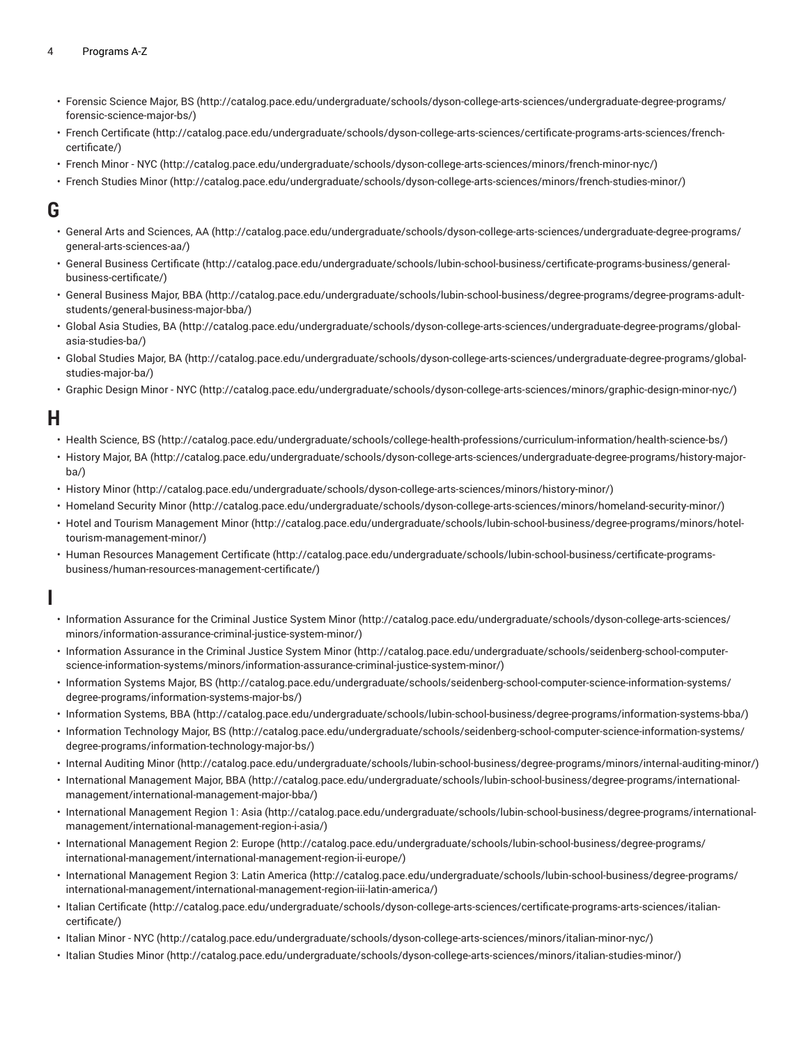- [Forensic](http://catalog.pace.edu/undergraduate/schools/dyson-college-arts-sciences/undergraduate-degree-programs/forensic-science-major-bs/) Science Major, BS ([http://catalog.pace.edu/undergraduate/schools/dyson-college-arts-sciences/undergraduate-degree-programs/](http://catalog.pace.edu/undergraduate/schools/dyson-college-arts-sciences/undergraduate-degree-programs/forensic-science-major-bs/) [forensic-science-major-bs/](http://catalog.pace.edu/undergraduate/schools/dyson-college-arts-sciences/undergraduate-degree-programs/forensic-science-major-bs/))
- French [Certificate \(http://catalog.pace.edu/undergraduate/schools/dyson-college-arts-sciences/certificate-programs-arts-sciences/french](http://catalog.pace.edu/undergraduate/schools/dyson-college-arts-sciences/certificate-programs-arts-sciences/french-certificate/)[certificate/](http://catalog.pace.edu/undergraduate/schools/dyson-college-arts-sciences/certificate-programs-arts-sciences/french-certificate/))
- [French](http://catalog.pace.edu/undergraduate/schools/dyson-college-arts-sciences/minors/french-minor-nyc/) Minor NYC ([http://catalog.pace.edu/undergraduate/schools/dyson-college-arts-sciences/minors/french-minor-nyc/\)](http://catalog.pace.edu/undergraduate/schools/dyson-college-arts-sciences/minors/french-minor-nyc/)
- French [Studies](http://catalog.pace.edu/undergraduate/schools/dyson-college-arts-sciences/minors/french-studies-minor/) Minor [\(http://catalog.pace.edu/undergraduate/schools/dyson-college-arts-sciences/minors/french-studies-minor/](http://catalog.pace.edu/undergraduate/schools/dyson-college-arts-sciences/minors/french-studies-minor/))

#### **G**

- General Arts and [Sciences,](http://catalog.pace.edu/undergraduate/schools/dyson-college-arts-sciences/undergraduate-degree-programs/general-arts-sciences-aa/) AA [\(http://catalog.pace.edu/undergraduate/schools/dyson-college-arts-sciences/undergraduate-degree-programs/](http://catalog.pace.edu/undergraduate/schools/dyson-college-arts-sciences/undergraduate-degree-programs/general-arts-sciences-aa/) [general-arts-sciences-aa/](http://catalog.pace.edu/undergraduate/schools/dyson-college-arts-sciences/undergraduate-degree-programs/general-arts-sciences-aa/))
- General Business [Certificate](http://catalog.pace.edu/undergraduate/schools/lubin-school-business/certificate-programs-business/general-business-certificate/) [\(http://catalog.pace.edu/undergraduate/schools/lubin-school-business/certificate-programs-business/general](http://catalog.pace.edu/undergraduate/schools/lubin-school-business/certificate-programs-business/general-business-certificate/)[business-certificate/\)](http://catalog.pace.edu/undergraduate/schools/lubin-school-business/certificate-programs-business/general-business-certificate/)
- General [Business](http://catalog.pace.edu/undergraduate/schools/lubin-school-business/degree-programs/degree-programs-adult-students/general-business-major-bba/) Major, BBA [\(http://catalog.pace.edu/undergraduate/schools/lubin-school-business/degree-programs/degree-programs-adult](http://catalog.pace.edu/undergraduate/schools/lubin-school-business/degree-programs/degree-programs-adult-students/general-business-major-bba/)[students/general-business-major-bba/](http://catalog.pace.edu/undergraduate/schools/lubin-school-business/degree-programs/degree-programs-adult-students/general-business-major-bba/))
- [Global Asia Studies, BA \(http://catalog.pace.edu/undergraduate/schools/dyson-college-arts-sciences/undergraduate-degree-programs/global](http://catalog.pace.edu/undergraduate/schools/dyson-college-arts-sciences/undergraduate-degree-programs/global-asia-studies-ba/)[asia-studies-ba/](http://catalog.pace.edu/undergraduate/schools/dyson-college-arts-sciences/undergraduate-degree-programs/global-asia-studies-ba/))
- Global [Studies](http://catalog.pace.edu/undergraduate/schools/dyson-college-arts-sciences/undergraduate-degree-programs/global-studies-major-ba/) Major, BA ([http://catalog.pace.edu/undergraduate/schools/dyson-college-arts-sciences/undergraduate-degree-programs/global](http://catalog.pace.edu/undergraduate/schools/dyson-college-arts-sciences/undergraduate-degree-programs/global-studies-major-ba/)[studies-major-ba/\)](http://catalog.pace.edu/undergraduate/schools/dyson-college-arts-sciences/undergraduate-degree-programs/global-studies-major-ba/)
- [Graphic](http://catalog.pace.edu/undergraduate/schools/dyson-college-arts-sciences/minors/graphic-design-minor-nyc/) Design Minor NYC ([http://catalog.pace.edu/undergraduate/schools/dyson-college-arts-sciences/minors/graphic-design-minor-nyc/\)](http://catalog.pace.edu/undergraduate/schools/dyson-college-arts-sciences/minors/graphic-design-minor-nyc/)

#### **H**

- [Health Science, BS \(http://catalog.pace.edu/undergraduate/schools/college-health-professions/curriculum-information/health-science-bs/](http://catalog.pace.edu/undergraduate/schools/college-health-professions/curriculum-information/health-science-bs/))
- [History](http://catalog.pace.edu/undergraduate/schools/dyson-college-arts-sciences/undergraduate-degree-programs/history-major-ba/) Major, BA ([http://catalog.pace.edu/undergraduate/schools/dyson-college-arts-sciences/undergraduate-degree-programs/history-major](http://catalog.pace.edu/undergraduate/schools/dyson-college-arts-sciences/undergraduate-degree-programs/history-major-ba/)[ba/](http://catalog.pace.edu/undergraduate/schools/dyson-college-arts-sciences/undergraduate-degree-programs/history-major-ba/))
- [History](http://catalog.pace.edu/undergraduate/schools/dyson-college-arts-sciences/minors/history-minor/) Minor [\(http://catalog.pace.edu/undergraduate/schools/dyson-college-arts-sciences/minors/history-minor/](http://catalog.pace.edu/undergraduate/schools/dyson-college-arts-sciences/minors/history-minor/))
- [Homeland Security Minor](http://catalog.pace.edu/undergraduate/schools/dyson-college-arts-sciences/minors/homeland-security-minor/) ([http://catalog.pace.edu/undergraduate/schools/dyson-college-arts-sciences/minors/homeland-security-minor/\)](http://catalog.pace.edu/undergraduate/schools/dyson-college-arts-sciences/minors/homeland-security-minor/)
- Hotel and Tourism [Management](http://catalog.pace.edu/undergraduate/schools/lubin-school-business/degree-programs/minors/hotel-tourism-management-minor/) Minor [\(http://catalog.pace.edu/undergraduate/schools/lubin-school-business/degree-programs/minors/hotel](http://catalog.pace.edu/undergraduate/schools/lubin-school-business/degree-programs/minors/hotel-tourism-management-minor/)[tourism-management-minor/\)](http://catalog.pace.edu/undergraduate/schools/lubin-school-business/degree-programs/minors/hotel-tourism-management-minor/)
- Human Resources [Management](http://catalog.pace.edu/undergraduate/schools/lubin-school-business/certificate-programs-business/human-resources-management-certificate/) Certificate [\(http://catalog.pace.edu/undergraduate/schools/lubin-school-business/certificate-programs](http://catalog.pace.edu/undergraduate/schools/lubin-school-business/certificate-programs-business/human-resources-management-certificate/)[business/human-resources-management-certificate/\)](http://catalog.pace.edu/undergraduate/schools/lubin-school-business/certificate-programs-business/human-resources-management-certificate/)

## **I**

- [Information Assurance for the Criminal Justice System Minor \(http://catalog.pace.edu/undergraduate/schools/dyson-college-arts-sciences/](http://catalog.pace.edu/undergraduate/schools/dyson-college-arts-sciences/minors/information-assurance-criminal-justice-system-minor/) [minors/information-assurance-criminal-justice-system-minor/\)](http://catalog.pace.edu/undergraduate/schools/dyson-college-arts-sciences/minors/information-assurance-criminal-justice-system-minor/)
- [Information Assurance in the Criminal Justice System Minor](http://catalog.pace.edu/undergraduate/schools/seidenberg-school-computer-science-information-systems/minors/information-assurance-criminal-justice-system-minor/) [\(http://catalog.pace.edu/undergraduate/schools/seidenberg-school-computer](http://catalog.pace.edu/undergraduate/schools/seidenberg-school-computer-science-information-systems/minors/information-assurance-criminal-justice-system-minor/)[science-information-systems/minors/information-assurance-criminal-justice-system-minor/\)](http://catalog.pace.edu/undergraduate/schools/seidenberg-school-computer-science-information-systems/minors/information-assurance-criminal-justice-system-minor/)
- [Information](http://catalog.pace.edu/undergraduate/schools/seidenberg-school-computer-science-information-systems/degree-programs/information-systems-major-bs/) Systems Major, BS ([http://catalog.pace.edu/undergraduate/schools/seidenberg-school-computer-science-information-systems/](http://catalog.pace.edu/undergraduate/schools/seidenberg-school-computer-science-information-systems/degree-programs/information-systems-major-bs/) [degree-programs/information-systems-major-bs/](http://catalog.pace.edu/undergraduate/schools/seidenberg-school-computer-science-information-systems/degree-programs/information-systems-major-bs/))
- [Information Systems, BBA](http://catalog.pace.edu/undergraduate/schools/lubin-school-business/degree-programs/information-systems-bba/) ([http://catalog.pace.edu/undergraduate/schools/lubin-school-business/degree-programs/information-systems-bba/\)](http://catalog.pace.edu/undergraduate/schools/lubin-school-business/degree-programs/information-systems-bba/)
- [Information](http://catalog.pace.edu/undergraduate/schools/seidenberg-school-computer-science-information-systems/degree-programs/information-technology-major-bs/) Technology Major, BS ([http://catalog.pace.edu/undergraduate/schools/seidenberg-school-computer-science-information-systems/](http://catalog.pace.edu/undergraduate/schools/seidenberg-school-computer-science-information-systems/degree-programs/information-technology-major-bs/) [degree-programs/information-technology-major-bs/\)](http://catalog.pace.edu/undergraduate/schools/seidenberg-school-computer-science-information-systems/degree-programs/information-technology-major-bs/)
- [Internal Auditing Minor](http://catalog.pace.edu/undergraduate/schools/lubin-school-business/degree-programs/minors/internal-auditing-minor/) [\(http://catalog.pace.edu/undergraduate/schools/lubin-school-business/degree-programs/minors/internal-auditing-minor/\)](http://catalog.pace.edu/undergraduate/schools/lubin-school-business/degree-programs/minors/internal-auditing-minor/)
- International [Management](http://catalog.pace.edu/undergraduate/schools/lubin-school-business/degree-programs/international-management/international-management-major-bba/) Major, BBA [\(http://catalog.pace.edu/undergraduate/schools/lubin-school-business/degree-programs/international](http://catalog.pace.edu/undergraduate/schools/lubin-school-business/degree-programs/international-management/international-management-major-bba/)[management/international-management-major-bba/](http://catalog.pace.edu/undergraduate/schools/lubin-school-business/degree-programs/international-management/international-management-major-bba/))
- [International Management Region 1: Asia \(http://catalog.pace.edu/undergraduate/schools/lubin-school-business/degree-programs/international](http://catalog.pace.edu/undergraduate/schools/lubin-school-business/degree-programs/international-management/international-management-region-i-asia/)[management/international-management-region-i-asia/\)](http://catalog.pace.edu/undergraduate/schools/lubin-school-business/degree-programs/international-management/international-management-region-i-asia/)
- International [Management](http://catalog.pace.edu/undergraduate/schools/lubin-school-business/degree-programs/international-management/international-management-region-ii-europe/) Region 2: Europe ([http://catalog.pace.edu/undergraduate/schools/lubin-school-business/degree-programs/](http://catalog.pace.edu/undergraduate/schools/lubin-school-business/degree-programs/international-management/international-management-region-ii-europe/) [international-management/international-management-region-ii-europe/\)](http://catalog.pace.edu/undergraduate/schools/lubin-school-business/degree-programs/international-management/international-management-region-ii-europe/)
- [International Management Region 3: Latin America \(http://catalog.pace.edu/undergraduate/schools/lubin-school-business/degree-programs/](http://catalog.pace.edu/undergraduate/schools/lubin-school-business/degree-programs/international-management/international-management-region-iii-latin-america/) [international-management/international-management-region-iii-latin-america/](http://catalog.pace.edu/undergraduate/schools/lubin-school-business/degree-programs/international-management/international-management-region-iii-latin-america/))
- Italian [Certificate](http://catalog.pace.edu/undergraduate/schools/dyson-college-arts-sciences/certificate-programs-arts-sciences/italian-certificate/) ([http://catalog.pace.edu/undergraduate/schools/dyson-college-arts-sciences/certificate-programs-arts-sciences/italian](http://catalog.pace.edu/undergraduate/schools/dyson-college-arts-sciences/certificate-programs-arts-sciences/italian-certificate/)[certificate/](http://catalog.pace.edu/undergraduate/schools/dyson-college-arts-sciences/certificate-programs-arts-sciences/italian-certificate/))
- [Italian](http://catalog.pace.edu/undergraduate/schools/dyson-college-arts-sciences/minors/italian-minor-nyc/) Minor NYC [\(http://catalog.pace.edu/undergraduate/schools/dyson-college-arts-sciences/minors/italian-minor-nyc/\)](http://catalog.pace.edu/undergraduate/schools/dyson-college-arts-sciences/minors/italian-minor-nyc/)
- [Italian Studies Minor](http://catalog.pace.edu/undergraduate/schools/dyson-college-arts-sciences/minors/italian-studies-minor/) [\(http://catalog.pace.edu/undergraduate/schools/dyson-college-arts-sciences/minors/italian-studies-minor/\)](http://catalog.pace.edu/undergraduate/schools/dyson-college-arts-sciences/minors/italian-studies-minor/)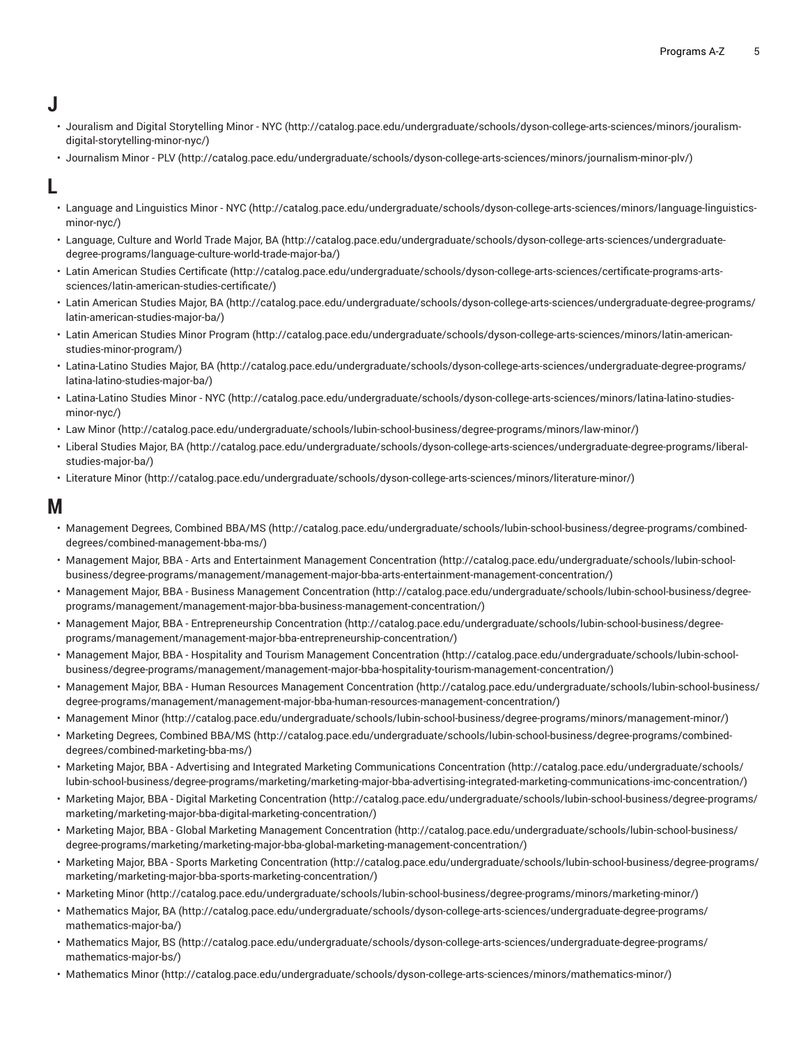# **J**

- Jouralism and Digital [Storytelling](http://catalog.pace.edu/undergraduate/schools/dyson-college-arts-sciences/minors/jouralism-digital-storytelling-minor-nyc/) Minor NYC [\(http://catalog.pace.edu/undergraduate/schools/dyson-college-arts-sciences/minors/jouralism](http://catalog.pace.edu/undergraduate/schools/dyson-college-arts-sciences/minors/jouralism-digital-storytelling-minor-nyc/)[digital-storytelling-minor-nyc/](http://catalog.pace.edu/undergraduate/schools/dyson-college-arts-sciences/minors/jouralism-digital-storytelling-minor-nyc/))
- [Journalism](http://catalog.pace.edu/undergraduate/schools/dyson-college-arts-sciences/minors/journalism-minor-plv/) Minor PLV ([http://catalog.pace.edu/undergraduate/schools/dyson-college-arts-sciences/minors/journalism-minor-plv/\)](http://catalog.pace.edu/undergraduate/schools/dyson-college-arts-sciences/minors/journalism-minor-plv/)

### **L**

- Language and [Linguistics](http://catalog.pace.edu/undergraduate/schools/dyson-college-arts-sciences/minors/language-linguistics-minor-nyc/) Minor NYC [\(http://catalog.pace.edu/undergraduate/schools/dyson-college-arts-sciences/minors/language-linguistics](http://catalog.pace.edu/undergraduate/schools/dyson-college-arts-sciences/minors/language-linguistics-minor-nyc/)[minor-nyc/](http://catalog.pace.edu/undergraduate/schools/dyson-college-arts-sciences/minors/language-linguistics-minor-nyc/))
- [Language,](http://catalog.pace.edu/undergraduate/schools/dyson-college-arts-sciences/undergraduate-degree-programs/language-culture-world-trade-major-ba/) Culture and World Trade Major, BA ([http://catalog.pace.edu/undergraduate/schools/dyson-college-arts-sciences/undergraduate](http://catalog.pace.edu/undergraduate/schools/dyson-college-arts-sciences/undergraduate-degree-programs/language-culture-world-trade-major-ba/)[degree-programs/language-culture-world-trade-major-ba/](http://catalog.pace.edu/undergraduate/schools/dyson-college-arts-sciences/undergraduate-degree-programs/language-culture-world-trade-major-ba/))
- Latin American Studies [Certificate](http://catalog.pace.edu/undergraduate/schools/dyson-college-arts-sciences/certificate-programs-arts-sciences/latin-american-studies-certificate/) [\(http://catalog.pace.edu/undergraduate/schools/dyson-college-arts-sciences/certificate-programs-arts](http://catalog.pace.edu/undergraduate/schools/dyson-college-arts-sciences/certificate-programs-arts-sciences/latin-american-studies-certificate/)[sciences/latin-american-studies-certificate/\)](http://catalog.pace.edu/undergraduate/schools/dyson-college-arts-sciences/certificate-programs-arts-sciences/latin-american-studies-certificate/)
- Latin [American](http://catalog.pace.edu/undergraduate/schools/dyson-college-arts-sciences/undergraduate-degree-programs/latin-american-studies-major-ba/) Studies Major, BA [\(http://catalog.pace.edu/undergraduate/schools/dyson-college-arts-sciences/undergraduate-degree-programs/](http://catalog.pace.edu/undergraduate/schools/dyson-college-arts-sciences/undergraduate-degree-programs/latin-american-studies-major-ba/) [latin-american-studies-major-ba/](http://catalog.pace.edu/undergraduate/schools/dyson-college-arts-sciences/undergraduate-degree-programs/latin-american-studies-major-ba/))
- Latin [American](http://catalog.pace.edu/undergraduate/schools/dyson-college-arts-sciences/minors/latin-american-studies-minor-program/) Studies Minor Program ([http://catalog.pace.edu/undergraduate/schools/dyson-college-arts-sciences/minors/latin-american](http://catalog.pace.edu/undergraduate/schools/dyson-college-arts-sciences/minors/latin-american-studies-minor-program/)[studies-minor-program/](http://catalog.pace.edu/undergraduate/schools/dyson-college-arts-sciences/minors/latin-american-studies-minor-program/))
- [Latina-Latino](http://catalog.pace.edu/undergraduate/schools/dyson-college-arts-sciences/undergraduate-degree-programs/latina-latino-studies-major-ba/) Studies Major, BA ([http://catalog.pace.edu/undergraduate/schools/dyson-college-arts-sciences/undergraduate-degree-programs/](http://catalog.pace.edu/undergraduate/schools/dyson-college-arts-sciences/undergraduate-degree-programs/latina-latino-studies-major-ba/) [latina-latino-studies-major-ba/\)](http://catalog.pace.edu/undergraduate/schools/dyson-college-arts-sciences/undergraduate-degree-programs/latina-latino-studies-major-ba/)
- [Latina-Latino](http://catalog.pace.edu/undergraduate/schools/dyson-college-arts-sciences/minors/latina-latino-studies-minor-nyc/) Studies Minor NYC [\(http://catalog.pace.edu/undergraduate/schools/dyson-college-arts-sciences/minors/latina-latino-studies](http://catalog.pace.edu/undergraduate/schools/dyson-college-arts-sciences/minors/latina-latino-studies-minor-nyc/)[minor-nyc/](http://catalog.pace.edu/undergraduate/schools/dyson-college-arts-sciences/minors/latina-latino-studies-minor-nyc/))
- [Law Minor \(http://catalog.pace.edu/undergraduate/schools/lubin-school-business/degree-programs/minors/law-minor/\)](http://catalog.pace.edu/undergraduate/schools/lubin-school-business/degree-programs/minors/law-minor/)
- Liberal [Studies](http://catalog.pace.edu/undergraduate/schools/dyson-college-arts-sciences/undergraduate-degree-programs/liberal-studies-major-ba/) Major, BA [\(http://catalog.pace.edu/undergraduate/schools/dyson-college-arts-sciences/undergraduate-degree-programs/liberal](http://catalog.pace.edu/undergraduate/schools/dyson-college-arts-sciences/undergraduate-degree-programs/liberal-studies-major-ba/)[studies-major-ba/\)](http://catalog.pace.edu/undergraduate/schools/dyson-college-arts-sciences/undergraduate-degree-programs/liberal-studies-major-ba/)
- [Literature](http://catalog.pace.edu/undergraduate/schools/dyson-college-arts-sciences/minors/literature-minor/) Minor [\(http://catalog.pace.edu/undergraduate/schools/dyson-college-arts-sciences/minors/literature-minor/](http://catalog.pace.edu/undergraduate/schools/dyson-college-arts-sciences/minors/literature-minor/))

#### **M**

- [Management](http://catalog.pace.edu/undergraduate/schools/lubin-school-business/degree-programs/combined-degrees/combined-management-bba-ms/) Degrees, Combined BBA/MS [\(http://catalog.pace.edu/undergraduate/schools/lubin-school-business/degree-programs/combined](http://catalog.pace.edu/undergraduate/schools/lubin-school-business/degree-programs/combined-degrees/combined-management-bba-ms/)[degrees/combined-management-bba-ms/\)](http://catalog.pace.edu/undergraduate/schools/lubin-school-business/degree-programs/combined-degrees/combined-management-bba-ms/)
- Management Major, BBA Arts and [Entertainment](http://catalog.pace.edu/undergraduate/schools/lubin-school-business/degree-programs/management/management-major-bba-arts-entertainment-management-concentration/) Management Concentration ([http://catalog.pace.edu/undergraduate/schools/lubin-school](http://catalog.pace.edu/undergraduate/schools/lubin-school-business/degree-programs/management/management-major-bba-arts-entertainment-management-concentration/)[business/degree-programs/management/management-major-bba-arts-entertainment-management-concentration/\)](http://catalog.pace.edu/undergraduate/schools/lubin-school-business/degree-programs/management/management-major-bba-arts-entertainment-management-concentration/)
- Management Major, BBA Business Management [Concentration](http://catalog.pace.edu/undergraduate/schools/lubin-school-business/degree-programs/management/management-major-bba-business-management-concentration/) ([http://catalog.pace.edu/undergraduate/schools/lubin-school-business/degree](http://catalog.pace.edu/undergraduate/schools/lubin-school-business/degree-programs/management/management-major-bba-business-management-concentration/)[programs/management/management-major-bba-business-management-concentration/\)](http://catalog.pace.edu/undergraduate/schools/lubin-school-business/degree-programs/management/management-major-bba-business-management-concentration/)
- Management Major, BBA [Entrepreneurship](http://catalog.pace.edu/undergraduate/schools/lubin-school-business/degree-programs/management/management-major-bba-entrepreneurship-concentration/) Concentration ([http://catalog.pace.edu/undergraduate/schools/lubin-school-business/degree](http://catalog.pace.edu/undergraduate/schools/lubin-school-business/degree-programs/management/management-major-bba-entrepreneurship-concentration/)[programs/management/management-major-bba-entrepreneurship-concentration/\)](http://catalog.pace.edu/undergraduate/schools/lubin-school-business/degree-programs/management/management-major-bba-entrepreneurship-concentration/)
- Management Major, BBA Hospitality and Tourism Management [Concentration](http://catalog.pace.edu/undergraduate/schools/lubin-school-business/degree-programs/management/management-major-bba-hospitality-tourism-management-concentration/) ([http://catalog.pace.edu/undergraduate/schools/lubin-school](http://catalog.pace.edu/undergraduate/schools/lubin-school-business/degree-programs/management/management-major-bba-hospitality-tourism-management-concentration/)[business/degree-programs/management/management-major-bba-hospitality-tourism-management-concentration/\)](http://catalog.pace.edu/undergraduate/schools/lubin-school-business/degree-programs/management/management-major-bba-hospitality-tourism-management-concentration/)
- Management Major, BBA Human Resources Management [Concentration \(http://catalog.pace.edu/undergraduate/schools/lubin-school-business/](http://catalog.pace.edu/undergraduate/schools/lubin-school-business/degree-programs/management/management-major-bba-human-resources-management-concentration/) [degree-programs/management/management-major-bba-human-resources-management-concentration/\)](http://catalog.pace.edu/undergraduate/schools/lubin-school-business/degree-programs/management/management-major-bba-human-resources-management-concentration/)
- [Management Minor](http://catalog.pace.edu/undergraduate/schools/lubin-school-business/degree-programs/minors/management-minor/) [\(http://catalog.pace.edu/undergraduate/schools/lubin-school-business/degree-programs/minors/management-minor/\)](http://catalog.pace.edu/undergraduate/schools/lubin-school-business/degree-programs/minors/management-minor/)
- Marketing Degrees, [Combined](http://catalog.pace.edu/undergraduate/schools/lubin-school-business/degree-programs/combined-degrees/combined-marketing-bba-ms/) BBA/MS ([http://catalog.pace.edu/undergraduate/schools/lubin-school-business/degree-programs/combined](http://catalog.pace.edu/undergraduate/schools/lubin-school-business/degree-programs/combined-degrees/combined-marketing-bba-ms/)[degrees/combined-marketing-bba-ms/](http://catalog.pace.edu/undergraduate/schools/lubin-school-business/degree-programs/combined-degrees/combined-marketing-bba-ms/))
- Marketing Major, BBA Advertising and Integrated Marketing [Communications](http://catalog.pace.edu/undergraduate/schools/lubin-school-business/degree-programs/marketing/marketing-major-bba-advertising-integrated-marketing-communications-imc-concentration/) Concentration ([http://catalog.pace.edu/undergraduate/schools/](http://catalog.pace.edu/undergraduate/schools/lubin-school-business/degree-programs/marketing/marketing-major-bba-advertising-integrated-marketing-communications-imc-concentration/) [lubin-school-business/degree-programs/marketing/marketing-major-bba-advertising-integrated-marketing-communications-imc-concentration/\)](http://catalog.pace.edu/undergraduate/schools/lubin-school-business/degree-programs/marketing/marketing-major-bba-advertising-integrated-marketing-communications-imc-concentration/)
- Marketing Major, BBA Digital Marketing [Concentration \(http://catalog.pace.edu/undergraduate/schools/lubin-school-business/degree-programs/](http://catalog.pace.edu/undergraduate/schools/lubin-school-business/degree-programs/marketing/marketing-major-bba-digital-marketing-concentration/) [marketing/marketing-major-bba-digital-marketing-concentration/\)](http://catalog.pace.edu/undergraduate/schools/lubin-school-business/degree-programs/marketing/marketing-major-bba-digital-marketing-concentration/)
- Marketing Major, BBA Global Marketing Management [Concentration](http://catalog.pace.edu/undergraduate/schools/lubin-school-business/degree-programs/marketing/marketing-major-bba-global-marketing-management-concentration/) ([http://catalog.pace.edu/undergraduate/schools/lubin-school-business/](http://catalog.pace.edu/undergraduate/schools/lubin-school-business/degree-programs/marketing/marketing-major-bba-global-marketing-management-concentration/) [degree-programs/marketing/marketing-major-bba-global-marketing-management-concentration/\)](http://catalog.pace.edu/undergraduate/schools/lubin-school-business/degree-programs/marketing/marketing-major-bba-global-marketing-management-concentration/)
- Marketing Major, BBA Sports Marketing [Concentration](http://catalog.pace.edu/undergraduate/schools/lubin-school-business/degree-programs/marketing/marketing-major-bba-sports-marketing-concentration/) [\(http://catalog.pace.edu/undergraduate/schools/lubin-school-business/degree-programs/](http://catalog.pace.edu/undergraduate/schools/lubin-school-business/degree-programs/marketing/marketing-major-bba-sports-marketing-concentration/) [marketing/marketing-major-bba-sports-marketing-concentration/\)](http://catalog.pace.edu/undergraduate/schools/lubin-school-business/degree-programs/marketing/marketing-major-bba-sports-marketing-concentration/)
- [Marketing](http://catalog.pace.edu/undergraduate/schools/lubin-school-business/degree-programs/minors/marketing-minor/) Minor ([http://catalog.pace.edu/undergraduate/schools/lubin-school-business/degree-programs/minors/marketing-minor/\)](http://catalog.pace.edu/undergraduate/schools/lubin-school-business/degree-programs/minors/marketing-minor/)
- [Mathematics](http://catalog.pace.edu/undergraduate/schools/dyson-college-arts-sciences/undergraduate-degree-programs/mathematics-major-ba/) Major, BA [\(http://catalog.pace.edu/undergraduate/schools/dyson-college-arts-sciences/undergraduate-degree-programs/](http://catalog.pace.edu/undergraduate/schools/dyson-college-arts-sciences/undergraduate-degree-programs/mathematics-major-ba/) [mathematics-major-ba/\)](http://catalog.pace.edu/undergraduate/schools/dyson-college-arts-sciences/undergraduate-degree-programs/mathematics-major-ba/)
- [Mathematics](http://catalog.pace.edu/undergraduate/schools/dyson-college-arts-sciences/undergraduate-degree-programs/mathematics-major-bs/) Major, BS ([http://catalog.pace.edu/undergraduate/schools/dyson-college-arts-sciences/undergraduate-degree-programs/](http://catalog.pace.edu/undergraduate/schools/dyson-college-arts-sciences/undergraduate-degree-programs/mathematics-major-bs/) [mathematics-major-bs/\)](http://catalog.pace.edu/undergraduate/schools/dyson-college-arts-sciences/undergraduate-degree-programs/mathematics-major-bs/)
- [Mathematics Minor](http://catalog.pace.edu/undergraduate/schools/dyson-college-arts-sciences/minors/mathematics-minor/) ([http://catalog.pace.edu/undergraduate/schools/dyson-college-arts-sciences/minors/mathematics-minor/\)](http://catalog.pace.edu/undergraduate/schools/dyson-college-arts-sciences/minors/mathematics-minor/)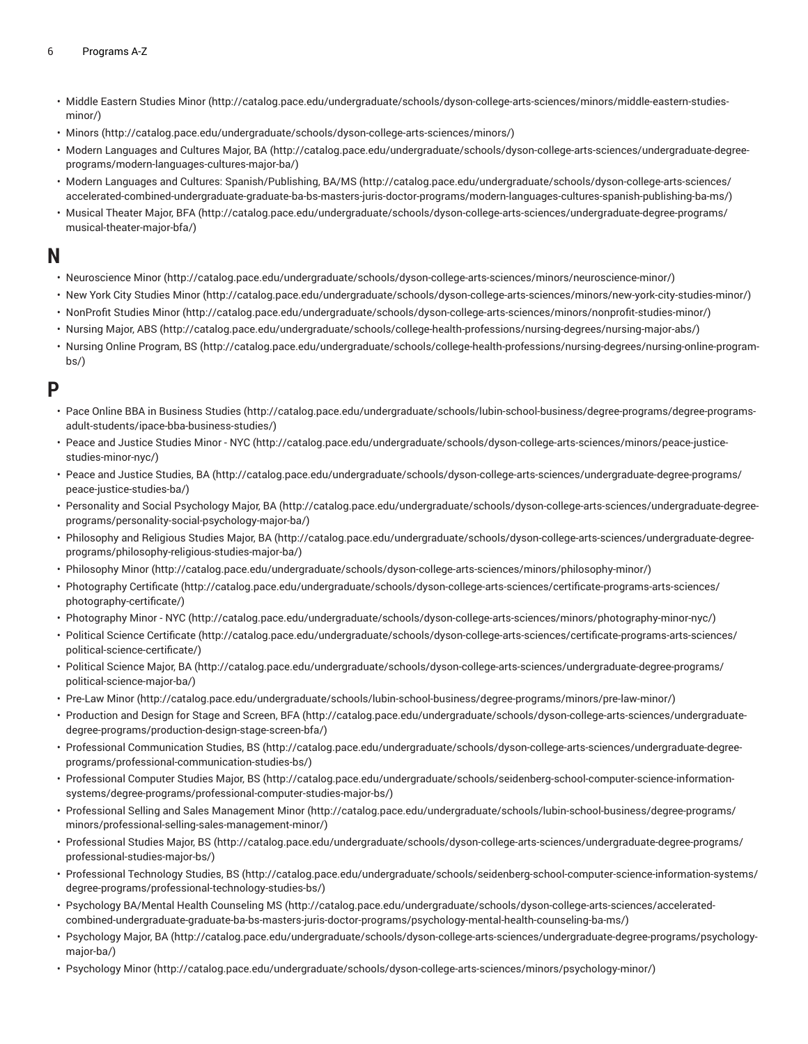- [Middle Eastern Studies Minor](http://catalog.pace.edu/undergraduate/schools/dyson-college-arts-sciences/minors/middle-eastern-studies-minor/) ([http://catalog.pace.edu/undergraduate/schools/dyson-college-arts-sciences/minors/middle-eastern-studies](http://catalog.pace.edu/undergraduate/schools/dyson-college-arts-sciences/minors/middle-eastern-studies-minor/)[minor/](http://catalog.pace.edu/undergraduate/schools/dyson-college-arts-sciences/minors/middle-eastern-studies-minor/))
- [Minors](http://catalog.pace.edu/undergraduate/schools/dyson-college-arts-sciences/minors/) (<http://catalog.pace.edu/undergraduate/schools/dyson-college-arts-sciences/minors/>)
- Modern [Languages](http://catalog.pace.edu/undergraduate/schools/dyson-college-arts-sciences/undergraduate-degree-programs/modern-languages-cultures-major-ba/) and Cultures Major, BA [\(http://catalog.pace.edu/undergraduate/schools/dyson-college-arts-sciences/undergraduate-degree](http://catalog.pace.edu/undergraduate/schools/dyson-college-arts-sciences/undergraduate-degree-programs/modern-languages-cultures-major-ba/)[programs/modern-languages-cultures-major-ba/\)](http://catalog.pace.edu/undergraduate/schools/dyson-college-arts-sciences/undergraduate-degree-programs/modern-languages-cultures-major-ba/)
- Modern Languages and Cultures: [Spanish/Publishing,](http://catalog.pace.edu/undergraduate/schools/dyson-college-arts-sciences/accelerated-combined-undergraduate-graduate-ba-bs-masters-juris-doctor-programs/modern-languages-cultures-spanish-publishing-ba-ms/) BA/MS [\(http://catalog.pace.edu/undergraduate/schools/dyson-college-arts-sciences/](http://catalog.pace.edu/undergraduate/schools/dyson-college-arts-sciences/accelerated-combined-undergraduate-graduate-ba-bs-masters-juris-doctor-programs/modern-languages-cultures-spanish-publishing-ba-ms/) [accelerated-combined-undergraduate-graduate-ba-bs-masters-juris-doctor-programs/modern-languages-cultures-spanish-publishing-ba-ms/](http://catalog.pace.edu/undergraduate/schools/dyson-college-arts-sciences/accelerated-combined-undergraduate-graduate-ba-bs-masters-juris-doctor-programs/modern-languages-cultures-spanish-publishing-ba-ms/))
- [Musical](http://catalog.pace.edu/undergraduate/schools/dyson-college-arts-sciences/undergraduate-degree-programs/musical-theater-major-bfa/) Theater Major, BFA ([http://catalog.pace.edu/undergraduate/schools/dyson-college-arts-sciences/undergraduate-degree-programs/](http://catalog.pace.edu/undergraduate/schools/dyson-college-arts-sciences/undergraduate-degree-programs/musical-theater-major-bfa/) [musical-theater-major-bfa/](http://catalog.pace.edu/undergraduate/schools/dyson-college-arts-sciences/undergraduate-degree-programs/musical-theater-major-bfa/))

#### **N**

- [Neuroscience](http://catalog.pace.edu/undergraduate/schools/dyson-college-arts-sciences/minors/neuroscience-minor/) Minor (<http://catalog.pace.edu/undergraduate/schools/dyson-college-arts-sciences/minors/neuroscience-minor/>)
- New York City [Studies](http://catalog.pace.edu/undergraduate/schools/dyson-college-arts-sciences/minors/new-york-city-studies-minor/) Minor [\(http://catalog.pace.edu/undergraduate/schools/dyson-college-arts-sciences/minors/new-york-city-studies-minor/\)](http://catalog.pace.edu/undergraduate/schools/dyson-college-arts-sciences/minors/new-york-city-studies-minor/)
- [NonProfit](http://catalog.pace.edu/undergraduate/schools/dyson-college-arts-sciences/minors/nonprofit-studies-minor/) Studies Minor [\(http://catalog.pace.edu/undergraduate/schools/dyson-college-arts-sciences/minors/nonprofit-studies-minor/](http://catalog.pace.edu/undergraduate/schools/dyson-college-arts-sciences/minors/nonprofit-studies-minor/))
- [Nursing](http://catalog.pace.edu/undergraduate/schools/college-health-professions/nursing-degrees/nursing-major-abs/) Major, ABS ([http://catalog.pace.edu/undergraduate/schools/college-health-professions/nursing-degrees/nursing-major-abs/\)](http://catalog.pace.edu/undergraduate/schools/college-health-professions/nursing-degrees/nursing-major-abs/)
- Nursing Online [Program,](http://catalog.pace.edu/undergraduate/schools/college-health-professions/nursing-degrees/nursing-online-program-bs/) BS [\(http://catalog.pace.edu/undergraduate/schools/college-health-professions/nursing-degrees/nursing-online-program](http://catalog.pace.edu/undergraduate/schools/college-health-professions/nursing-degrees/nursing-online-program-bs/)[bs/](http://catalog.pace.edu/undergraduate/schools/college-health-professions/nursing-degrees/nursing-online-program-bs/))

#### **P**

- Pace Online BBA in [Business](http://catalog.pace.edu/undergraduate/schools/lubin-school-business/degree-programs/degree-programs-adult-students/ipace-bba-business-studies/) Studies [\(http://catalog.pace.edu/undergraduate/schools/lubin-school-business/degree-programs/degree-programs](http://catalog.pace.edu/undergraduate/schools/lubin-school-business/degree-programs/degree-programs-adult-students/ipace-bba-business-studies/)[adult-students/ipace-bba-business-studies/](http://catalog.pace.edu/undergraduate/schools/lubin-school-business/degree-programs/degree-programs-adult-students/ipace-bba-business-studies/))
- Peace and Justice [Studies](http://catalog.pace.edu/undergraduate/schools/dyson-college-arts-sciences/minors/peace-justice-studies-minor-nyc/) Minor NYC [\(http://catalog.pace.edu/undergraduate/schools/dyson-college-arts-sciences/minors/peace-justice](http://catalog.pace.edu/undergraduate/schools/dyson-college-arts-sciences/minors/peace-justice-studies-minor-nyc/)[studies-minor-nyc/\)](http://catalog.pace.edu/undergraduate/schools/dyson-college-arts-sciences/minors/peace-justice-studies-minor-nyc/)
- Peace and Justice [Studies,](http://catalog.pace.edu/undergraduate/schools/dyson-college-arts-sciences/undergraduate-degree-programs/peace-justice-studies-ba/) BA ([http://catalog.pace.edu/undergraduate/schools/dyson-college-arts-sciences/undergraduate-degree-programs/](http://catalog.pace.edu/undergraduate/schools/dyson-college-arts-sciences/undergraduate-degree-programs/peace-justice-studies-ba/) [peace-justice-studies-ba/\)](http://catalog.pace.edu/undergraduate/schools/dyson-college-arts-sciences/undergraduate-degree-programs/peace-justice-studies-ba/)
- Personality and Social [Psychology](http://catalog.pace.edu/undergraduate/schools/dyson-college-arts-sciences/undergraduate-degree-programs/personality-social-psychology-major-ba/) Major, BA [\(http://catalog.pace.edu/undergraduate/schools/dyson-college-arts-sciences/undergraduate-degree](http://catalog.pace.edu/undergraduate/schools/dyson-college-arts-sciences/undergraduate-degree-programs/personality-social-psychology-major-ba/)[programs/personality-social-psychology-major-ba/](http://catalog.pace.edu/undergraduate/schools/dyson-college-arts-sciences/undergraduate-degree-programs/personality-social-psychology-major-ba/))
- [Philosophy](http://catalog.pace.edu/undergraduate/schools/dyson-college-arts-sciences/undergraduate-degree-programs/philosophy-religious-studies-major-ba/) and Religious Studies Major, BA ([http://catalog.pace.edu/undergraduate/schools/dyson-college-arts-sciences/undergraduate-degree](http://catalog.pace.edu/undergraduate/schools/dyson-college-arts-sciences/undergraduate-degree-programs/philosophy-religious-studies-major-ba/)[programs/philosophy-religious-studies-major-ba/](http://catalog.pace.edu/undergraduate/schools/dyson-college-arts-sciences/undergraduate-degree-programs/philosophy-religious-studies-major-ba/))
- [Philosophy Minor](http://catalog.pace.edu/undergraduate/schools/dyson-college-arts-sciences/minors/philosophy-minor/) (<http://catalog.pace.edu/undergraduate/schools/dyson-college-arts-sciences/minors/philosophy-minor/>)
- [Photography](http://catalog.pace.edu/undergraduate/schools/dyson-college-arts-sciences/certificate-programs-arts-sciences/photography-certificate/) Certificate ([http://catalog.pace.edu/undergraduate/schools/dyson-college-arts-sciences/certificate-programs-arts-sciences/](http://catalog.pace.edu/undergraduate/schools/dyson-college-arts-sciences/certificate-programs-arts-sciences/photography-certificate/) [photography-certificate/](http://catalog.pace.edu/undergraduate/schools/dyson-college-arts-sciences/certificate-programs-arts-sciences/photography-certificate/))
- [Photography](http://catalog.pace.edu/undergraduate/schools/dyson-college-arts-sciences/minors/photography-minor-nyc/) Minor NYC [\(http://catalog.pace.edu/undergraduate/schools/dyson-college-arts-sciences/minors/photography-minor-nyc/](http://catalog.pace.edu/undergraduate/schools/dyson-college-arts-sciences/minors/photography-minor-nyc/))
- Political Science [Certificate](http://catalog.pace.edu/undergraduate/schools/dyson-college-arts-sciences/certificate-programs-arts-sciences/political-science-certificate/) [\(http://catalog.pace.edu/undergraduate/schools/dyson-college-arts-sciences/certificate-programs-arts-sciences/](http://catalog.pace.edu/undergraduate/schools/dyson-college-arts-sciences/certificate-programs-arts-sciences/political-science-certificate/) [political-science-certificate/\)](http://catalog.pace.edu/undergraduate/schools/dyson-college-arts-sciences/certificate-programs-arts-sciences/political-science-certificate/)
- [Political](http://catalog.pace.edu/undergraduate/schools/dyson-college-arts-sciences/undergraduate-degree-programs/political-science-major-ba/) Science Major, BA [\(http://catalog.pace.edu/undergraduate/schools/dyson-college-arts-sciences/undergraduate-degree-programs/](http://catalog.pace.edu/undergraduate/schools/dyson-college-arts-sciences/undergraduate-degree-programs/political-science-major-ba/) [political-science-major-ba/\)](http://catalog.pace.edu/undergraduate/schools/dyson-college-arts-sciences/undergraduate-degree-programs/political-science-major-ba/)
- [Pre-Law](http://catalog.pace.edu/undergraduate/schools/lubin-school-business/degree-programs/minors/pre-law-minor/) Minor [\(http://catalog.pace.edu/undergraduate/schools/lubin-school-business/degree-programs/minors/pre-law-minor/](http://catalog.pace.edu/undergraduate/schools/lubin-school-business/degree-programs/minors/pre-law-minor/))
- [Production](http://catalog.pace.edu/undergraduate/schools/dyson-college-arts-sciences/undergraduate-degree-programs/production-design-stage-screen-bfa/) and Design for Stage and Screen, BFA ([http://catalog.pace.edu/undergraduate/schools/dyson-college-arts-sciences/undergraduate](http://catalog.pace.edu/undergraduate/schools/dyson-college-arts-sciences/undergraduate-degree-programs/production-design-stage-screen-bfa/)[degree-programs/production-design-stage-screen-bfa/](http://catalog.pace.edu/undergraduate/schools/dyson-college-arts-sciences/undergraduate-degree-programs/production-design-stage-screen-bfa/))
- Professional [Communication](http://catalog.pace.edu/undergraduate/schools/dyson-college-arts-sciences/undergraduate-degree-programs/professional-communication-studies-bs/) Studies, BS ([http://catalog.pace.edu/undergraduate/schools/dyson-college-arts-sciences/undergraduate-degree](http://catalog.pace.edu/undergraduate/schools/dyson-college-arts-sciences/undergraduate-degree-programs/professional-communication-studies-bs/)[programs/professional-communication-studies-bs/\)](http://catalog.pace.edu/undergraduate/schools/dyson-college-arts-sciences/undergraduate-degree-programs/professional-communication-studies-bs/)
- [Professional](http://catalog.pace.edu/undergraduate/schools/seidenberg-school-computer-science-information-systems/degree-programs/professional-computer-studies-major-bs/) Computer Studies Major, BS [\(http://catalog.pace.edu/undergraduate/schools/seidenberg-school-computer-science-information](http://catalog.pace.edu/undergraduate/schools/seidenberg-school-computer-science-information-systems/degree-programs/professional-computer-studies-major-bs/)[systems/degree-programs/professional-computer-studies-major-bs/](http://catalog.pace.edu/undergraduate/schools/seidenberg-school-computer-science-information-systems/degree-programs/professional-computer-studies-major-bs/))
- Professional Selling and Sales [Management](http://catalog.pace.edu/undergraduate/schools/lubin-school-business/degree-programs/minors/professional-selling-sales-management-minor/) Minor ([http://catalog.pace.edu/undergraduate/schools/lubin-school-business/degree-programs/](http://catalog.pace.edu/undergraduate/schools/lubin-school-business/degree-programs/minors/professional-selling-sales-management-minor/) [minors/professional-selling-sales-management-minor/\)](http://catalog.pace.edu/undergraduate/schools/lubin-school-business/degree-programs/minors/professional-selling-sales-management-minor/)
- [Professional](http://catalog.pace.edu/undergraduate/schools/dyson-college-arts-sciences/undergraduate-degree-programs/professional-studies-major-bs/) Studies Major, BS ([http://catalog.pace.edu/undergraduate/schools/dyson-college-arts-sciences/undergraduate-degree-programs/](http://catalog.pace.edu/undergraduate/schools/dyson-college-arts-sciences/undergraduate-degree-programs/professional-studies-major-bs/) [professional-studies-major-bs/](http://catalog.pace.edu/undergraduate/schools/dyson-college-arts-sciences/undergraduate-degree-programs/professional-studies-major-bs/))
- [Professional](http://catalog.pace.edu/undergraduate/schools/seidenberg-school-computer-science-information-systems/degree-programs/professional-technology-studies-bs/) Technology Studies, BS [\(http://catalog.pace.edu/undergraduate/schools/seidenberg-school-computer-science-information-systems/](http://catalog.pace.edu/undergraduate/schools/seidenberg-school-computer-science-information-systems/degree-programs/professional-technology-studies-bs/) [degree-programs/professional-technology-studies-bs/](http://catalog.pace.edu/undergraduate/schools/seidenberg-school-computer-science-information-systems/degree-programs/professional-technology-studies-bs/))
- [Psychology](http://catalog.pace.edu/undergraduate/schools/dyson-college-arts-sciences/accelerated-combined-undergraduate-graduate-ba-bs-masters-juris-doctor-programs/psychology-mental-health-counseling-ba-ms/) BA/Mental Health Counseling MS ([http://catalog.pace.edu/undergraduate/schools/dyson-college-arts-sciences/accelerated](http://catalog.pace.edu/undergraduate/schools/dyson-college-arts-sciences/accelerated-combined-undergraduate-graduate-ba-bs-masters-juris-doctor-programs/psychology-mental-health-counseling-ba-ms/)[combined-undergraduate-graduate-ba-bs-masters-juris-doctor-programs/psychology-mental-health-counseling-ba-ms/](http://catalog.pace.edu/undergraduate/schools/dyson-college-arts-sciences/accelerated-combined-undergraduate-graduate-ba-bs-masters-juris-doctor-programs/psychology-mental-health-counseling-ba-ms/))
- [Psychology](http://catalog.pace.edu/undergraduate/schools/dyson-college-arts-sciences/undergraduate-degree-programs/psychology-major-ba/) Major, BA [\(http://catalog.pace.edu/undergraduate/schools/dyson-college-arts-sciences/undergraduate-degree-programs/psychology](http://catalog.pace.edu/undergraduate/schools/dyson-college-arts-sciences/undergraduate-degree-programs/psychology-major-ba/)[major-ba/](http://catalog.pace.edu/undergraduate/schools/dyson-college-arts-sciences/undergraduate-degree-programs/psychology-major-ba/))
- [Psychology](http://catalog.pace.edu/undergraduate/schools/dyson-college-arts-sciences/minors/psychology-minor/) Minor [\(http://catalog.pace.edu/undergraduate/schools/dyson-college-arts-sciences/minors/psychology-minor/](http://catalog.pace.edu/undergraduate/schools/dyson-college-arts-sciences/minors/psychology-minor/))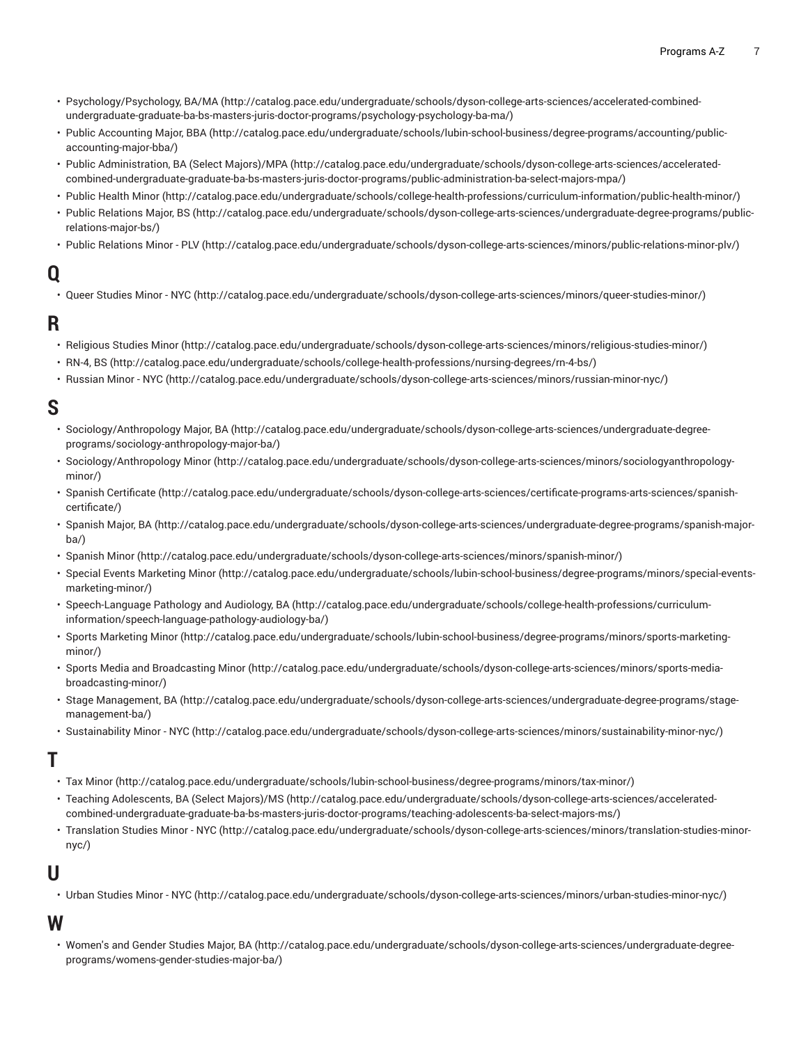- [Psychology/Psychology,](http://catalog.pace.edu/undergraduate/schools/dyson-college-arts-sciences/accelerated-combined-undergraduate-graduate-ba-bs-masters-juris-doctor-programs/psychology-psychology-ba-ma/) BA/MA [\(http://catalog.pace.edu/undergraduate/schools/dyson-college-arts-sciences/accelerated-combined](http://catalog.pace.edu/undergraduate/schools/dyson-college-arts-sciences/accelerated-combined-undergraduate-graduate-ba-bs-masters-juris-doctor-programs/psychology-psychology-ba-ma/)[undergraduate-graduate-ba-bs-masters-juris-doctor-programs/psychology-psychology-ba-ma/](http://catalog.pace.edu/undergraduate/schools/dyson-college-arts-sciences/accelerated-combined-undergraduate-graduate-ba-bs-masters-juris-doctor-programs/psychology-psychology-ba-ma/))
- Public [Accounting](http://catalog.pace.edu/undergraduate/schools/lubin-school-business/degree-programs/accounting/public-accounting-major-bba/) Major, BBA [\(http://catalog.pace.edu/undergraduate/schools/lubin-school-business/degree-programs/accounting/public](http://catalog.pace.edu/undergraduate/schools/lubin-school-business/degree-programs/accounting/public-accounting-major-bba/)[accounting-major-bba/](http://catalog.pace.edu/undergraduate/schools/lubin-school-business/degree-programs/accounting/public-accounting-major-bba/))
- Public [Administration,](http://catalog.pace.edu/undergraduate/schools/dyson-college-arts-sciences/accelerated-combined-undergraduate-graduate-ba-bs-masters-juris-doctor-programs/public-administration-ba-select-majors-mpa/) BA (Select Majors)/MPA ([http://catalog.pace.edu/undergraduate/schools/dyson-college-arts-sciences/accelerated](http://catalog.pace.edu/undergraduate/schools/dyson-college-arts-sciences/accelerated-combined-undergraduate-graduate-ba-bs-masters-juris-doctor-programs/public-administration-ba-select-majors-mpa/)[combined-undergraduate-graduate-ba-bs-masters-juris-doctor-programs/public-administration-ba-select-majors-mpa/\)](http://catalog.pace.edu/undergraduate/schools/dyson-college-arts-sciences/accelerated-combined-undergraduate-graduate-ba-bs-masters-juris-doctor-programs/public-administration-ba-select-majors-mpa/)
- [Public Health Minor](http://catalog.pace.edu/undergraduate/schools/college-health-professions/curriculum-information/public-health-minor/) ([http://catalog.pace.edu/undergraduate/schools/college-health-professions/curriculum-information/public-health-minor/\)](http://catalog.pace.edu/undergraduate/schools/college-health-professions/curriculum-information/public-health-minor/)
- Public [Relations](http://catalog.pace.edu/undergraduate/schools/dyson-college-arts-sciences/undergraduate-degree-programs/public-relations-major-bs/) Major, BS ([http://catalog.pace.edu/undergraduate/schools/dyson-college-arts-sciences/undergraduate-degree-programs/public](http://catalog.pace.edu/undergraduate/schools/dyson-college-arts-sciences/undergraduate-degree-programs/public-relations-major-bs/)[relations-major-bs/](http://catalog.pace.edu/undergraduate/schools/dyson-college-arts-sciences/undergraduate-degree-programs/public-relations-major-bs/))
- Public [Relations](http://catalog.pace.edu/undergraduate/schools/dyson-college-arts-sciences/minors/public-relations-minor-plv/) Minor PLV ([http://catalog.pace.edu/undergraduate/schools/dyson-college-arts-sciences/minors/public-relations-minor-plv/\)](http://catalog.pace.edu/undergraduate/schools/dyson-college-arts-sciences/minors/public-relations-minor-plv/)

# **Q**

• Queer [Studies](http://catalog.pace.edu/undergraduate/schools/dyson-college-arts-sciences/minors/queer-studies-minor/) Minor - NYC [\(http://catalog.pace.edu/undergraduate/schools/dyson-college-arts-sciences/minors/queer-studies-minor/](http://catalog.pace.edu/undergraduate/schools/dyson-college-arts-sciences/minors/queer-studies-minor/))

### **R**

- [Religious Studies Minor](http://catalog.pace.edu/undergraduate/schools/dyson-college-arts-sciences/minors/religious-studies-minor/) [\(http://catalog.pace.edu/undergraduate/schools/dyson-college-arts-sciences/minors/religious-studies-minor/](http://catalog.pace.edu/undergraduate/schools/dyson-college-arts-sciences/minors/religious-studies-minor/))
- [RN-4, BS](http://catalog.pace.edu/undergraduate/schools/college-health-professions/nursing-degrees/rn-4-bs/) ([http://catalog.pace.edu/undergraduate/schools/college-health-professions/nursing-degrees/rn-4-bs/\)](http://catalog.pace.edu/undergraduate/schools/college-health-professions/nursing-degrees/rn-4-bs/)
- [Russian](http://catalog.pace.edu/undergraduate/schools/dyson-college-arts-sciences/minors/russian-minor-nyc/) Minor NYC [\(http://catalog.pace.edu/undergraduate/schools/dyson-college-arts-sciences/minors/russian-minor-nyc/\)](http://catalog.pace.edu/undergraduate/schools/dyson-college-arts-sciences/minors/russian-minor-nyc/)

# **S**

- [Sociology/Anthropology](http://catalog.pace.edu/undergraduate/schools/dyson-college-arts-sciences/undergraduate-degree-programs/sociology-anthropology-major-ba/) Major, BA ([http://catalog.pace.edu/undergraduate/schools/dyson-college-arts-sciences/undergraduate-degree](http://catalog.pace.edu/undergraduate/schools/dyson-college-arts-sciences/undergraduate-degree-programs/sociology-anthropology-major-ba/)[programs/sociology-anthropology-major-ba/\)](http://catalog.pace.edu/undergraduate/schools/dyson-college-arts-sciences/undergraduate-degree-programs/sociology-anthropology-major-ba/)
- [Sociology/Anthropology](http://catalog.pace.edu/undergraduate/schools/dyson-college-arts-sciences/minors/sociologyanthropology-minor/) Minor ([http://catalog.pace.edu/undergraduate/schools/dyson-college-arts-sciences/minors/sociologyanthropology](http://catalog.pace.edu/undergraduate/schools/dyson-college-arts-sciences/minors/sociologyanthropology-minor/)[minor/](http://catalog.pace.edu/undergraduate/schools/dyson-college-arts-sciences/minors/sociologyanthropology-minor/))
- Spanish [Certificate](http://catalog.pace.edu/undergraduate/schools/dyson-college-arts-sciences/certificate-programs-arts-sciences/spanish-certificate/) ([http://catalog.pace.edu/undergraduate/schools/dyson-college-arts-sciences/certificate-programs-arts-sciences/spanish](http://catalog.pace.edu/undergraduate/schools/dyson-college-arts-sciences/certificate-programs-arts-sciences/spanish-certificate/)[certificate/](http://catalog.pace.edu/undergraduate/schools/dyson-college-arts-sciences/certificate-programs-arts-sciences/spanish-certificate/))
- [Spanish](http://catalog.pace.edu/undergraduate/schools/dyson-college-arts-sciences/undergraduate-degree-programs/spanish-major-ba/) Major, BA ([http://catalog.pace.edu/undergraduate/schools/dyson-college-arts-sciences/undergraduate-degree-programs/spanish-major](http://catalog.pace.edu/undergraduate/schools/dyson-college-arts-sciences/undergraduate-degree-programs/spanish-major-ba/)[ba/](http://catalog.pace.edu/undergraduate/schools/dyson-college-arts-sciences/undergraduate-degree-programs/spanish-major-ba/))
- [Spanish Minor](http://catalog.pace.edu/undergraduate/schools/dyson-college-arts-sciences/minors/spanish-minor/) (<http://catalog.pace.edu/undergraduate/schools/dyson-college-arts-sciences/minors/spanish-minor/>)
- Special Events [Marketing](http://catalog.pace.edu/undergraduate/schools/lubin-school-business/degree-programs/minors/special-events-marketing-minor/) Minor [\(http://catalog.pace.edu/undergraduate/schools/lubin-school-business/degree-programs/minors/special-events](http://catalog.pace.edu/undergraduate/schools/lubin-school-business/degree-programs/minors/special-events-marketing-minor/)[marketing-minor/\)](http://catalog.pace.edu/undergraduate/schools/lubin-school-business/degree-programs/minors/special-events-marketing-minor/)
- [Speech-Language](http://catalog.pace.edu/undergraduate/schools/college-health-professions/curriculum-information/speech-language-pathology-audiology-ba/) Pathology and Audiology, BA [\(http://catalog.pace.edu/undergraduate/schools/college-health-professions/curriculum](http://catalog.pace.edu/undergraduate/schools/college-health-professions/curriculum-information/speech-language-pathology-audiology-ba/)[information/speech-language-pathology-audiology-ba/](http://catalog.pace.edu/undergraduate/schools/college-health-professions/curriculum-information/speech-language-pathology-audiology-ba/))
- Sports [Marketing](http://catalog.pace.edu/undergraduate/schools/lubin-school-business/degree-programs/minors/sports-marketing-minor/) Minor ([http://catalog.pace.edu/undergraduate/schools/lubin-school-business/degree-programs/minors/sports-marketing](http://catalog.pace.edu/undergraduate/schools/lubin-school-business/degree-programs/minors/sports-marketing-minor/)[minor/](http://catalog.pace.edu/undergraduate/schools/lubin-school-business/degree-programs/minors/sports-marketing-minor/))
- Sports Media and [Broadcasting](http://catalog.pace.edu/undergraduate/schools/dyson-college-arts-sciences/minors/sports-media-broadcasting-minor/) Minor ([http://catalog.pace.edu/undergraduate/schools/dyson-college-arts-sciences/minors/sports-media](http://catalog.pace.edu/undergraduate/schools/dyson-college-arts-sciences/minors/sports-media-broadcasting-minor/)[broadcasting-minor/\)](http://catalog.pace.edu/undergraduate/schools/dyson-college-arts-sciences/minors/sports-media-broadcasting-minor/)
- [Stage Management, BA](http://catalog.pace.edu/undergraduate/schools/dyson-college-arts-sciences/undergraduate-degree-programs/stage-management-ba/) [\(http://catalog.pace.edu/undergraduate/schools/dyson-college-arts-sciences/undergraduate-degree-programs/stage](http://catalog.pace.edu/undergraduate/schools/dyson-college-arts-sciences/undergraduate-degree-programs/stage-management-ba/)[management-ba/](http://catalog.pace.edu/undergraduate/schools/dyson-college-arts-sciences/undergraduate-degree-programs/stage-management-ba/))
- [Sustainability](http://catalog.pace.edu/undergraduate/schools/dyson-college-arts-sciences/minors/sustainability-minor-nyc/) Minor NYC [\(http://catalog.pace.edu/undergraduate/schools/dyson-college-arts-sciences/minors/sustainability-minor-nyc/\)](http://catalog.pace.edu/undergraduate/schools/dyson-college-arts-sciences/minors/sustainability-minor-nyc/)

### **T**

- Tax [Minor \(http://catalog.pace.edu/undergraduate/schools/lubin-school-business/degree-programs/minors/tax-minor/](http://catalog.pace.edu/undergraduate/schools/lubin-school-business/degree-programs/minors/tax-minor/))
- Teaching [Adolescents,](http://catalog.pace.edu/undergraduate/schools/dyson-college-arts-sciences/accelerated-combined-undergraduate-graduate-ba-bs-masters-juris-doctor-programs/teaching-adolescents-ba-select-majors-ms/) BA (Select Majors)/MS ([http://catalog.pace.edu/undergraduate/schools/dyson-college-arts-sciences/accelerated](http://catalog.pace.edu/undergraduate/schools/dyson-college-arts-sciences/accelerated-combined-undergraduate-graduate-ba-bs-masters-juris-doctor-programs/teaching-adolescents-ba-select-majors-ms/)[combined-undergraduate-graduate-ba-bs-masters-juris-doctor-programs/teaching-adolescents-ba-select-majors-ms/\)](http://catalog.pace.edu/undergraduate/schools/dyson-college-arts-sciences/accelerated-combined-undergraduate-graduate-ba-bs-masters-juris-doctor-programs/teaching-adolescents-ba-select-majors-ms/)
- [Translation](http://catalog.pace.edu/undergraduate/schools/dyson-college-arts-sciences/minors/translation-studies-minor-nyc/) Studies Minor NYC ([http://catalog.pace.edu/undergraduate/schools/dyson-college-arts-sciences/minors/translation-studies-minor](http://catalog.pace.edu/undergraduate/schools/dyson-college-arts-sciences/minors/translation-studies-minor-nyc/)[nyc/](http://catalog.pace.edu/undergraduate/schools/dyson-college-arts-sciences/minors/translation-studies-minor-nyc/))

### **U**

• Urban [Studies](http://catalog.pace.edu/undergraduate/schools/dyson-college-arts-sciences/minors/urban-studies-minor-nyc/) Minor - NYC (<http://catalog.pace.edu/undergraduate/schools/dyson-college-arts-sciences/minors/urban-studies-minor-nyc/>)

### **W**

• [Women's](http://catalog.pace.edu/undergraduate/schools/dyson-college-arts-sciences/undergraduate-degree-programs/womens-gender-studies-major-ba/) and Gender Studies Major, BA ([http://catalog.pace.edu/undergraduate/schools/dyson-college-arts-sciences/undergraduate-degree](http://catalog.pace.edu/undergraduate/schools/dyson-college-arts-sciences/undergraduate-degree-programs/womens-gender-studies-major-ba/)[programs/womens-gender-studies-major-ba/](http://catalog.pace.edu/undergraduate/schools/dyson-college-arts-sciences/undergraduate-degree-programs/womens-gender-studies-major-ba/))